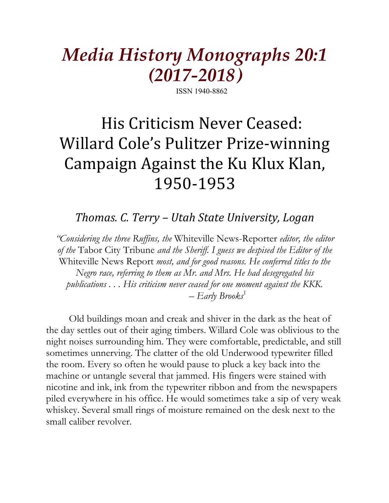# *Media History Monographs 20:1 (2017-2018)*

ISSN 1940-8862

# His Criticism Never Ceased: Willard Cole's Pulitzer Prize-winning Campaign Against the Ku Klux Klan, 1950-1953

# *Thomas. C. Terry – Utah State University, Logan*

*"Considering the three Ruffins, the* Whiteville News-Reporter *editor, the editor of the* Tabor City Tribune *and the Sheriff. I guess we despised the Editor of the*  Whiteville News Report *most, and for good reasons. He conferred titles to the Negro race, referring to them as Mr. and Mrs. He had desegregated his publications . . . His criticism never ceased for one moment against the KKK. – Early Brooks*<sup>1</sup>

Old buildings moan and creak and shiver in the dark as the heat of the day settles out of their aging timbers. Willard Cole was oblivious to the night noises surrounding him. They were comfortable, predictable, and still sometimes unnerving. The clatter of the old Underwood typewriter filled the room. Every so often he would pause to pluck a key back into the machine or untangle several that jammed. His fingers were stained with nicotine and ink, ink from the typewriter ribbon and from the newspapers piled everywhere in his office. He would sometimes take a sip of very weak whiskey. Several small rings of moisture remained on the desk next to the small caliber revolver.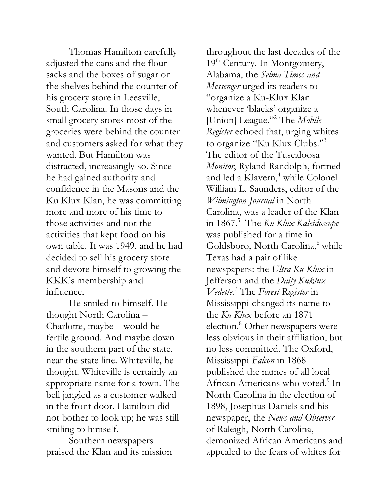Thomas Hamilton carefully adjusted the cans and the flour sacks and the boxes of sugar on the shelves behind the counter of his grocery store in Leesville, South Carolina. In those days in small grocery stores most of the groceries were behind the counter and customers asked for what they wanted. But Hamilton was distracted, increasingly so. Since he had gained authority and confidence in the Masons and the Ku Klux Klan, he was committing more and more of his time to those activities and not the activities that kept food on his own table. It was 1949, and he had decided to sell his grocery store and devote himself to growing the KKK's membership and influence.

He smiled to himself. He thought North Carolina – Charlotte, maybe – would be fertile ground. And maybe down in the southern part of the state, near the state line. Whiteville, he thought. Whiteville is certainly an appropriate name for a town. The bell jangled as a customer walked in the front door. Hamilton did not bother to look up; he was still smiling to himself.

Southern newspapers praised the Klan and its mission

throughout the last decades of the 19<sup>th</sup> Century. In Montgomery, Alabama, the *Selma Times and Messenger* urged its readers to "organize a Ku-Klux Klan whenever 'blacks' organize a [Union] League."2 The *Mobile Register* echoed that, urging whites to organize "Ku Klux Clubs."3 The editor of the Tuscaloosa *Monitor*, Ryland Randolph, formed and led a Klavern,<sup>4</sup> while Colonel William L. Saunders, editor of the *Wilmington Journal* in North Carolina, was a leader of the Klan in 1867.5 The *Ku Klux Kaleidoscope* was published for a time in Goldsboro, North Carolina,<sup>6</sup> while Texas had a pair of like newspapers: the *Ultra Ku Klux* in Jefferson and the *Daily Kuklux Vedette.*<sup>7</sup> The *Forest Register* in Mississippi changed its name to the *Ku Klux* before an 1871 election.<sup>8</sup> Other newspapers were less obvious in their affiliation, but no less committed. The Oxford, Mississippi *Falcon* in 1868 published the names of all local African Americans who voted.<sup>9</sup> In North Carolina in the election of 1898, Josephus Daniels and his newspaper, the *News and Observer* of Raleigh, North Carolina, demonized African Americans and appealed to the fears of whites for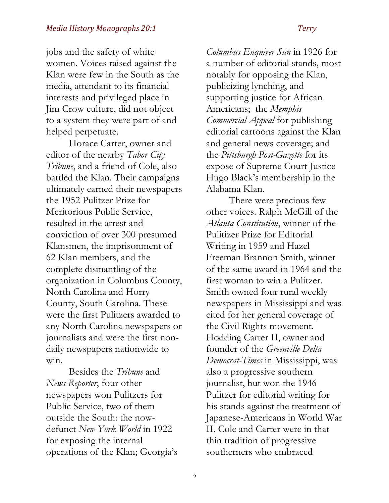jobs and the safety of white women. Voices raised against the Klan were few in the South as the media, attendant to its financial interests and privileged place in Jim Crow culture, did not object to a system they were part of and helped perpetuate.

Horace Carter, owner and editor of the nearby *Tabor City Tribune*, and a friend of Cole, also battled the Klan. Their campaigns ultimately earned their newspapers the 1952 Pulitzer Prize for Meritorious Public Service, resulted in the arrest and conviction of over 300 presumed Klansmen, the imprisonment of 62 Klan members, and the complete dismantling of the organization in Columbus County, North Carolina and Horry County, South Carolina. These were the first Pulitzers awarded to any North Carolina newspapers or journalists and were the first nondaily newspapers nationwide to win.

Besides the *Tribune* and *News-Reporter*, four other newspapers won Pulitzers for Public Service, two of them outside the South: the nowdefunct *New York World* in 1922 for exposing the internal operations of the Klan; Georgia's *Columbus Enquirer Sun* in 1926 for a number of editorial stands, most notably for opposing the Klan, publicizing lynching, and supporting justice for African Americans; the *Memphis Commercial Appeal* for publishing editorial cartoons against the Klan and general news coverage; and the *Pittsburgh Post-Gazette* for its expose of Supreme Court Justice Hugo Black's membership in the Alabama Klan.

There were precious few other voices. Ralph McGill of the *Atlanta Constitution*, winner of the Pulitizer Prize for Editorial Writing in 1959 and Hazel Freeman Brannon Smith, winner of the same award in 1964 and the first woman to win a Pulitzer. Smith owned four rural weekly newspapers in Mississippi and was cited for her general coverage of the Civil Rights movement. Hodding Carter II, owner and founder of the *Greenville Delta Democrat-Times* in Mississippi, was also a progressive southern journalist, but won the 1946 Pulitzer for editorial writing for his stands against the treatment of Japanese-Americans in World War II. Cole and Carter were in that thin tradition of progressive southerners who embraced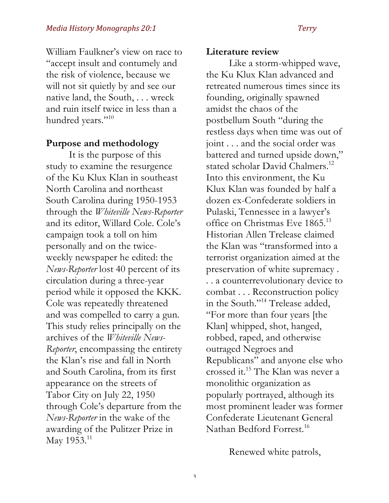William Faulkner's view on race to "accept insult and contumely and the risk of violence, because we will not sit quietly by and see our native land, the South, . . . wreck and ruin itself twice in less than a hundred years."<sup>10</sup>

### **Purpose and methodology**

It is the purpose of this study to examine the resurgence of the Ku Klux Klan in southeast North Carolina and northeast South Carolina during 1950-1953 through the *Whiteville News-Reporter*  and its editor, Willard Cole. Cole's campaign took a toll on him personally and on the twiceweekly newspaper he edited: the *News-Reporter* lost 40 percent of its circulation during a three-year period while it opposed the KKK. Cole was repeatedly threatened and was compelled to carry a gun. This study relies principally on the archives of the *Whiteville News-Reporter*, encompassing the entirety the Klan's rise and fall in North and South Carolina, from its first appearance on the streets of Tabor City on July 22, 1950 through Cole's departure from the *News-Reporter* in the wake of the awarding of the Pulitzer Prize in May 1953.<sup>11</sup>

### **Literature review**

Like a storm-whipped wave, the Ku Klux Klan advanced and retreated numerous times since its founding, originally spawned amidst the chaos of the postbellum South "during the restless days when time was out of joint . . . and the social order was battered and turned upside down," stated scholar David Chalmers.<sup>12</sup> Into this environment, the Ku Klux Klan was founded by half a dozen ex-Confederate soldiers in Pulaski, Tennessee in a lawyer's office on Christmas Eve 1865.<sup>13</sup> Historian Allen Trelease claimed the Klan was "transformed into a terrorist organization aimed at the preservation of white supremacy . . . a counterrevolutionary device to combat . . . Reconstruction policy in the South."<sup>14</sup> Trelease added, "For more than four years [the Klan] whipped, shot, hanged, robbed, raped, and otherwise outraged Negroes and Republicans" and anyone else who crossed it.15 The Klan was never a monolithic organization as popularly portrayed, although its most prominent leader was former Confederate Lieutenant General Nathan Bedford Forrest.<sup>16</sup>

Renewed white patrols,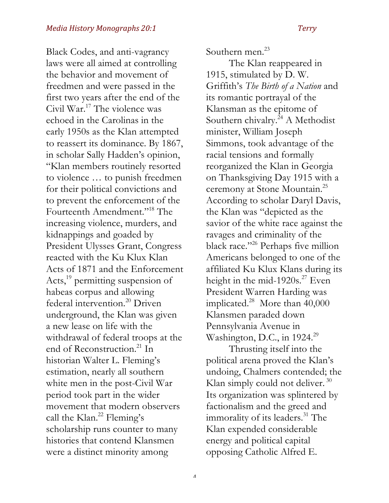Black Codes, and anti-vagrancy laws were all aimed at controlling the behavior and movement of freedmen and were passed in the first two years after the end of the Civil War.17 The violence was echoed in the Carolinas in the early 1950s as the Klan attempted to reassert its dominance. By 1867, in scholar Sally Hadden's opinion, "Klan members routinely resorted to violence … to punish freedmen for their political convictions and to prevent the enforcement of the Fourteenth Amendment."18 The increasing violence, murders, and kidnappings and goaded by President Ulysses Grant, Congress reacted with the Ku Klux Klan Acts of 1871 and the Enforcement Acts,<sup>19</sup> permitting suspension of habeas corpus and allowing federal intervention.<sup>20</sup> Driven underground, the Klan was given a new lease on life with the withdrawal of federal troops at the end of Reconstruction.<sup>21</sup> In historian Walter L. Fleming's estimation, nearly all southern white men in the post-Civil War period took part in the wider movement that modern observers call the Klan.<sup>22</sup> Fleming's scholarship runs counter to many histories that contend Klansmen were a distinct minority among

Southern men.<sup>23</sup>

The Klan reappeared in 1915, stimulated by D. W. Griffith's *The Birth of a Nation* and its romantic portrayal of the Klansman as the epitome of Southern chivalry.<sup>24</sup> A Methodist minister, William Joseph Simmons, took advantage of the racial tensions and formally reorganized the Klan in Georgia on Thanksgiving Day 1915 with a ceremony at Stone Mountain.<sup>25</sup> According to scholar Daryl Davis, the Klan was "depicted as the savior of the white race against the ravages and criminality of the black race."<sup>26</sup> Perhaps five million Americans belonged to one of the affiliated Ku Klux Klans during its height in the mid-1920s.<sup>27</sup> Even President Warren Harding was implicated. $28$  More than 40,000 Klansmen paraded down Pennsylvania Avenue in Washington, D.C., in 1924.<sup>29</sup>

Thrusting itself into the political arena proved the Klan's undoing, Chalmers contended; the Klan simply could not deliver.  $30$ Its organization was splintered by factionalism and the greed and immorality of its leaders.<sup>31</sup> The Klan expended considerable energy and political capital opposing Catholic Alfred E.

 $\Lambda$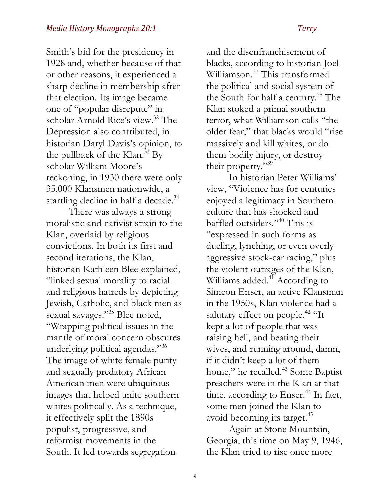Smith's bid for the presidency in 1928 and, whether because of that or other reasons, it experienced a sharp decline in membership after that election. Its image became one of "popular disrepute" in scholar Arnold Rice's view.<sup>32</sup> The Depression also contributed, in historian Daryl Davis's opinion, to the pullback of the Klan.<sup>33</sup> By scholar William Moore's reckoning, in 1930 there were only 35,000 Klansmen nationwide, a startling decline in half a decade.<sup>34</sup>

There was always a strong moralistic and nativist strain to the Klan, overlaid by religious convictions. In both its first and second iterations, the Klan, historian Kathleen Blee explained, "linked sexual morality to racial and religious hatreds by depicting Jewish, Catholic, and black men as sexual savages."<sup>35</sup> Blee noted, "Wrapping political issues in the mantle of moral concern obscures underlying political agendas."36 The image of white female purity and sexually predatory African American men were ubiquitous images that helped unite southern whites politically. As a technique, it effectively split the 1890s populist, progressive, and reformist movements in the South. It led towards segregation

and the disenfranchisement of blacks, according to historian Joel Williamson.37 This transformed the political and social system of the South for half a century.<sup>38</sup> The Klan stoked a primal southern terror, what Williamson calls "the older fear," that blacks would "rise massively and kill whites, or do them bodily injury, or destroy their property."<sup>39</sup>

In historian Peter Williams' view, "Violence has for centuries enjoyed a legitimacy in Southern culture that has shocked and baffled outsiders."40 This is "expressed in such forms as dueling, lynching, or even overly aggressive stock-car racing," plus the violent outrages of the Klan, Williams added.<sup>41</sup> According to Simeon Enser, an active Klansman in the 1950s, Klan violence had a salutary effect on people.<sup>42</sup> "It kept a lot of people that was raising hell, and beating their wives, and running around, damn, if it didn't keep a lot of them home," he recalled.<sup>43</sup> Some Baptist preachers were in the Klan at that time, according to Enser. $44$  In fact, some men joined the Klan to avoid becoming its target.<sup>45</sup>

Again at Stone Mountain, Georgia, this time on May 9, 1946, the Klan tried to rise once more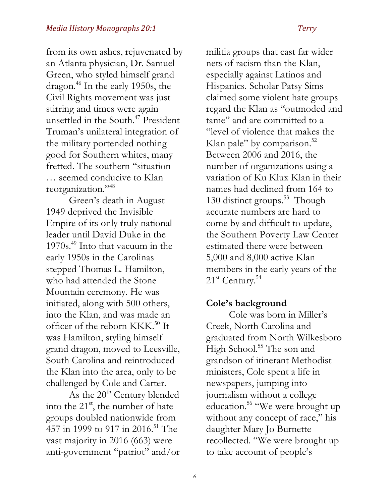from its own ashes, rejuvenated by an Atlanta physician, Dr. Samuel Green, who styled himself grand dragon.46 In the early 1950s, the Civil Rights movement was just stirring and times were again unsettled in the South.47 President Truman's unilateral integration of the military portended nothing good for Southern whites, many fretted. The southern "situation … seemed conducive to Klan reorganization."48

Green's death in August 1949 deprived the Invisible Empire of its only truly national leader until David Duke in the 1970s.49 Into that vacuum in the early 1950s in the Carolinas stepped Thomas L. Hamilton, who had attended the Stone Mountain ceremony. He was initiated, along with 500 others, into the Klan, and was made an officer of the reborn KKK.<sup>50</sup> It was Hamilton, styling himself grand dragon, moved to Leesville, South Carolina and reintroduced the Klan into the area, only to be challenged by Cole and Carter*.* 

As the  $20<sup>th</sup>$  Century blended into the  $21<sup>st</sup>$ , the number of hate groups doubled nationwide from 457 in 1999 to 917 in 2016.<sup>51</sup> The vast majority in 2016 (663) were anti-government "patriot" and/or militia groups that cast far wider nets of racism than the Klan, especially against Latinos and Hispanics. Scholar Patsy Sims claimed some violent hate groups regard the Klan as "outmoded and tame" and are committed to a "level of violence that makes the Klan pale" by comparison. $52$ Between 2006 and 2016, the number of organizations using a variation of Ku Klux Klan in their names had declined from 164 to 130 distinct groups.<sup>53</sup> Though accurate numbers are hard to come by and difficult to update, the Southern Poverty Law Center estimated there were between 5,000 and 8,000 active Klan members in the early years of the 21<sup>st</sup> Century.<sup>54</sup>

### **Cole's background**

Cole was born in Miller's Creek, North Carolina and graduated from North Wilkesboro High School.<sup>55</sup> The son and grandson of itinerant Methodist ministers, Cole spent a life in newspapers, jumping into journalism without a college education.<sup>56</sup> "We were brought up without any concept of race," his daughter Mary Jo Burnette recollected. "We were brought up to take account of people's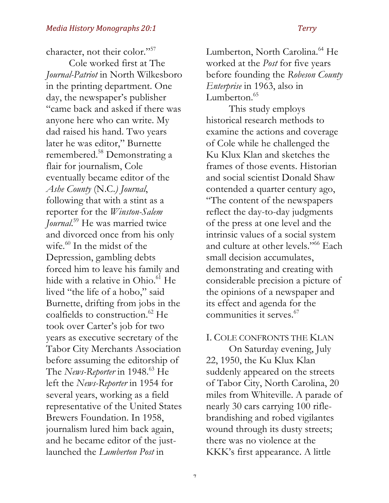character, not their color."57

Cole worked first at The *Journal-Patriot* in North Wilkesboro in the printing department. One day, the newspaper's publisher "came back and asked if there was anyone here who can write. My dad raised his hand. Two years later he was editor," Burnette remembered. <sup>58</sup> Demonstrating a flair for journalism, Cole eventually became editor of the *Ashe County* (N.C.*) Journal*, following that with a stint as a reporter for the *Winston-Salem Journal*. <sup>59</sup> He was married twice and divorced once from his only wife.<sup>60</sup> In the midst of the Depression, gambling debts forced him to leave his family and hide with a relative in Ohio.<sup>61</sup> He lived "the life of a hobo," said Burnette, drifting from jobs in the coalfields to construction.<sup>62</sup> He took over Carter's job for two years as executive secretary of the Tabor City Merchants Association before assuming the editorship of The *News-Reporter* in 1948.<sup>63</sup> He left the *News-Reporter* in 1954 for several years, working as a field representative of the United States Brewers Foundation. In 1958, journalism lured him back again, and he became editor of the justlaunched the *Lumberton Post* in

Lumberton, North Carolina.<sup>64</sup> He worked at the *Post* for five years before founding the *Robeson County Enterprise* in 1963, also in Lumberton. $65$ 

This study employs historical research methods to examine the actions and coverage of Cole while he challenged the Ku Klux Klan and sketches the frames of those events. Historian and social scientist Donald Shaw contended a quarter century ago, "The content of the newspapers reflect the day-to-day judgments of the press at one level and the intrinsic values of a social system and culture at other levels."66 Each small decision accumulates, demonstrating and creating with considerable precision a picture of the opinions of a newspaper and its effect and agenda for the communities it serves.<sup>67</sup>

### I. COLE CONFRONTS THE KLAN

On Saturday evening, July 22, 1950, the Ku Klux Klan suddenly appeared on the streets of Tabor City, North Carolina, 20 miles from Whiteville. A parade of nearly 30 cars carrying 100 riflebrandishing and robed vigilantes wound through its dusty streets; there was no violence at the KKK's first appearance. A little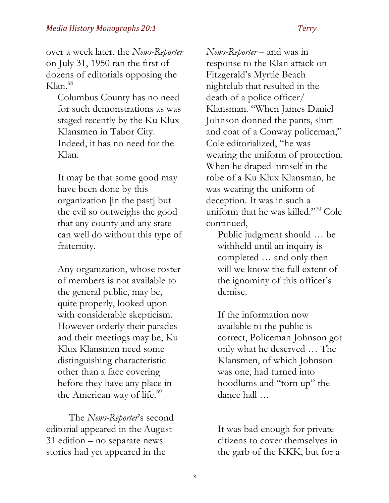over a week later, the *News-Reporter* on July 31, 1950 ran the first of dozens of editorials opposing the  $K$ lan<sup>68</sup>

Columbus County has no need for such demonstrations as was staged recently by the Ku Klux Klansmen in Tabor City. Indeed, it has no need for the Klan.

It may be that some good may have been done by this organization [in the past] but the evil so outweighs the good that any county and any state can well do without this type of fraternity.

Any organization, whose roster of members is not available to the general public, may be, quite properly, looked upon with considerable skepticism. However orderly their parades and their meetings may be, Ku Klux Klansmen need some distinguishing characteristic other than a face covering before they have any place in the American way of life.<sup>69</sup>

The *News-Reporter*'s second editorial appeared in the August 31 edition – no separate news stories had yet appeared in the

*News-Reporter* – and was in response to the Klan attack on Fitzgerald's Myrtle Beach nightclub that resulted in the death of a police officer/ Klansman. "When James Daniel Johnson donned the pants, shirt and coat of a Conway policeman," Cole editorialized, "he was wearing the uniform of protection. When he draped himself in the robe of a Ku Klux Klansman, he was wearing the uniform of deception. It was in such a uniform that he was killed."70 Cole continued,

Public judgment should … be withheld until an inquiry is completed … and only then will we know the full extent of the ignominy of this officer's demise.

If the information now available to the public is correct, Policeman Johnson got only what he deserved … The Klansmen, of which Johnson was one, had turned into hoodlums and "torn up" the dance hall …

It was bad enough for private citizens to cover themselves in the garb of the KKK, but for a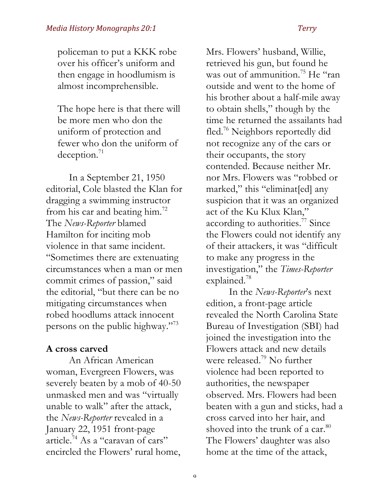policeman to put a KKK robe over his officer's uniform and then engage in hoodlumism is almost incomprehensible.

The hope here is that there will be more men who don the uniform of protection and fewer who don the uniform of deception.<sup>71</sup>

In a September 21, 1950 editorial, Cole blasted the Klan for dragging a swimming instructor from his car and beating him.<sup>72</sup> The *News-Reporter* blamed Hamilton for inciting mob violence in that same incident. "Sometimes there are extenuating circumstances when a man or men commit crimes of passion," said the editorial, "but there can be no mitigating circumstances when robed hoodlums attack innocent persons on the public highway."<sup>73</sup>

### **A cross carved**

An African American woman, Evergreen Flowers, was severely beaten by a mob of 40-50 unmasked men and was "virtually unable to walk" after the attack, the *News-Reporter* revealed in a January 22, 1951 front-page article.74 As a "caravan of cars" encircled the Flowers' rural home,

Mrs. Flowers' husband, Willie, retrieved his gun, but found he was out of ammunition.<sup>75</sup> He "ran" outside and went to the home of his brother about a half-mile away to obtain shells," though by the time he returned the assailants had fled.76 Neighbors reportedly did not recognize any of the cars or their occupants, the story contended. Because neither Mr. nor Mrs. Flowers was "robbed or marked," this "eliminat[ed] any suspicion that it was an organized act of the Ku Klux Klan," according to authorities.<sup>77</sup> Since the Flowers could not identify any of their attackers, it was "difficult to make any progress in the investigation," the *Times-Reporter*  explained.78

In the *News-Reporter*'s next edition, a front-page article revealed the North Carolina State Bureau of Investigation (SBI) had joined the investigation into the Flowers attack and new details were released.<sup>79</sup> No further violence had been reported to authorities, the newspaper observed. Mrs. Flowers had been beaten with a gun and sticks, had a cross carved into her hair, and shoved into the trunk of a car.<sup>80</sup> The Flowers' daughter was also home at the time of the attack,

 $\mathbf{o}$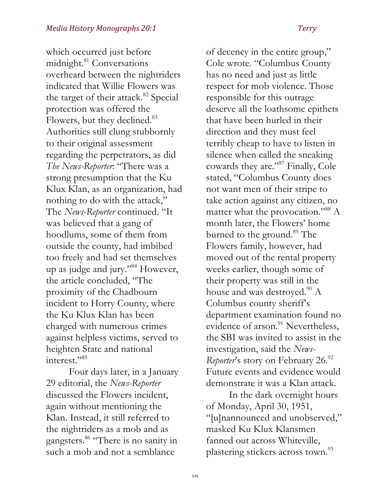which occurred just before midnight.<sup>81</sup> Conversations overheard between the nightriders indicated that Willie Flowers was the target of their attack.<sup>82</sup> Special protection was offered the Flowers, but they declined.<sup>83</sup> Authorities still clung stubbornly to their original assessment regarding the perpetrators, as did *The News-Reporter*: "There was a strong presumption that the Ku Klux Klan, as an organization, had nothing to do with the attack," The *News-Reporter* continued. "It was believed that a gang of hoodlums, some of them from outside the county, had imbibed too freely and had set themselves up as judge and jury."84 However, the article concluded, "The proximity of the Chadbourn incident to Horry County, where the Ku Klux Klan has been charged with numerous crimes against helpless victims, served to heighten State and national interest."85

Four days later, in a January 29 editorial, the *News-Reporter* discussed the Flowers incident, again without mentioning the Klan. Instead, it still referred to the nightriders as a mob and as gangsters.<sup>86</sup> "There is no sanity in such a mob and not a semblance

of decency in the entire group," Cole wrote. "Columbus County has no need and just as little respect for mob violence. Those responsible for this outrage deserve all the loathsome epithets that have been hurled in their direction and they must feel terribly cheap to have to listen in silence when called the sneaking cowards they are."<sup>87</sup> Finally, Cole stated, "Columbus County does not want men of their stripe to take action against any citizen, no matter what the provocation."88 A month later, the Flowers' home burned to the ground.<sup>89</sup> The Flowers family, however, had moved out of the rental property weeks earlier, though some of their property was still in the house and was destroyed. $90$  A Columbus county sheriff's department examination found no evidence of arson.<sup>91</sup> Nevertheless, the SBI was invited to assist in the investigation, said the *News-Reporter's* story on February 26.92 Future events and evidence would demonstrate it was a Klan attack.

In the dark overnight hours of Monday, April 30, 1951, "[u]nannounced and unobserved," masked Ku Klux Klansmen fanned out across Whiteville, plastering stickers across town.<sup>93</sup>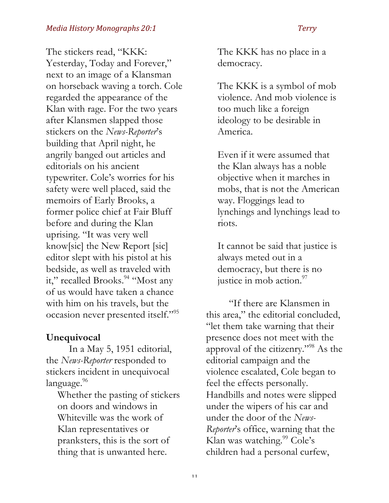The stickers read, "KKK: Yesterday, Today and Forever," next to an image of a Klansman on horseback waving a torch. Cole regarded the appearance of the Klan with rage. For the two years after Klansmen slapped those stickers on the *News-Reporter*'s building that April night, he angrily banged out articles and editorials on his ancient typewriter. Cole's worries for his safety were well placed, said the memoirs of Early Brooks, a former police chief at Fair Bluff before and during the Klan uprising. "It was very well know[sic] the New Report [sic] editor slept with his pistol at his bedside, as well as traveled with it," recalled Brooks.<sup>94</sup> "Most any of us would have taken a chance with him on his travels, but the occasion never presented itself."95

# **Unequivocal**

In a May 5, 1951 editorial, the *News-Reporter* responded to stickers incident in unequivocal language.<sup>96</sup>

Whether the pasting of stickers on doors and windows in Whiteville was the work of Klan representatives or pranksters, this is the sort of thing that is unwanted here.

The KKK has no place in a democracy.

The KKK is a symbol of mob violence. And mob violence is too much like a foreign ideology to be desirable in America.

Even if it were assumed that the Klan always has a noble objective when it marches in mobs, that is not the American way. Floggings lead to lynchings and lynchings lead to riots.

It cannot be said that justice is always meted out in a democracy, but there is no justice in mob action.<sup>97</sup>

"If there are Klansmen in this area," the editorial concluded, "let them take warning that their presence does not meet with the approval of the citizenry."98 As the editorial campaign and the violence escalated, Cole began to feel the effects personally. Handbills and notes were slipped under the wipers of his car and under the door of the *News-Reporter*'s office, warning that the Klan was watching.<sup>99</sup> Cole's children had a personal curfew,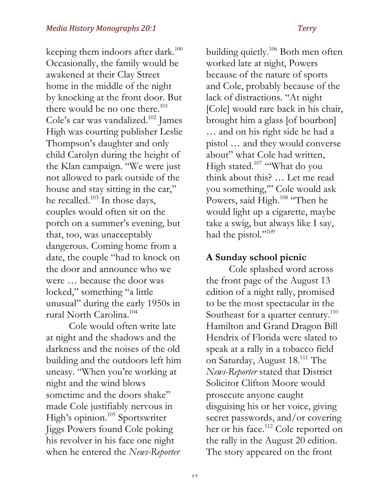keeping them indoors after dark.<sup>100</sup> Occasionally, the family would be awakened at their Clay Street home in the middle of the night by knocking at the front door. But there would be no one there.<sup>101</sup> Cole's car was vandalized.<sup>102</sup> James High was courting publisher Leslie Thompson's daughter and only child Carolyn during the height of the Klan campaign. "We were just not allowed to park outside of the house and stay sitting in the car," he recalled.<sup>103</sup> In those days, couples would often sit on the porch on a summer's evening, but that, too, was unacceptably dangerous. Coming home from a date, the couple "had to knock on the door and announce who we were … because the door was locked," something "a little unusual" during the early 1950s in rural North Carolina.104

Cole would often write late at night and the shadows and the darkness and the noises of the old building and the outdoors left him uneasy. "When you're working at night and the wind blows sometime and the doors shake" made Cole justifiably nervous in High's opinion.<sup>105</sup> Sportswriter Jiggs Powers found Cole poking his revolver in his face one night when he entered the *News-Reporter*

building quietly.<sup>106</sup> Both men often worked late at night, Powers because of the nature of sports and Cole, probably because of the lack of distractions. "At night [Cole] would rare back in his chair, brought him a glass [of bourbon] … and on his right side he had a pistol … and they would converse about" what Cole had written, High stated.<sup>107</sup> "What do you think about this? … Let me read you something,'" Cole would ask Powers, said High.<sup>108</sup> "Then he would light up a cigarette, maybe take a swig, but always like I say, had the pistol."<sup>109</sup>

### **A Sunday school picnic**

Cole splashed word across the front page of the August 13 edition of a night rally, promised to be the most spectacular in the Southeast for a quarter century.<sup>110</sup> Hamilton and Grand Dragon Bill Hendrix of Florida were slated to speak at a rally in a tobacco field on Saturday, August 18.111 The *News-Reporter* stated that District Solicitor Clifton Moore would prosecute anyone caught disguising his or her voice, giving secret passwords, and/or covering her or his face.<sup>112</sup> Cole reported on the rally in the August 20 edition. The story appeared on the front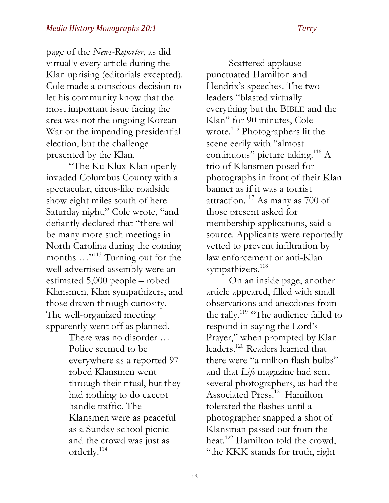page of the *News-Reporter*, as did virtually every article during the Klan uprising (editorials excepted). Cole made a conscious decision to let his community know that the most important issue facing the area was not the ongoing Korean War or the impending presidential election, but the challenge presented by the Klan.

"The Ku Klux Klan openly invaded Columbus County with a spectacular, circus-like roadside show eight miles south of here Saturday night," Cole wrote, "and defiantly declared that "there will be many more such meetings in North Carolina during the coming months ..."<sup>113</sup> Turning out for the well-advertised assembly were an estimated 5,000 people – robed Klansmen, Klan sympathizers, and those drawn through curiosity. The well-organized meeting apparently went off as planned.

> There was no disorder … Police seemed to be everywhere as a reported 97 robed Klansmen went through their ritual, but they had nothing to do except handle traffic. The Klansmen were as peaceful as a Sunday school picnic and the crowd was just as orderly.114

Scattered applause punctuated Hamilton and Hendrix's speeches. The two leaders "blasted virtually everything but the BIBLE and the Klan" for 90 minutes, Cole wrote.<sup>115</sup> Photographers lit the scene eerily with "almost continuous" picture taking.<sup>116</sup> A trio of Klansmen posed for photographs in front of their Klan banner as if it was a tourist attraction.117 As many as 700 of those present asked for membership applications, said a source. Applicants were reportedly vetted to prevent infiltration by law enforcement or anti-Klan sympathizers.<sup>118</sup>

On an inside page, another article appeared, filled with small observations and anecdotes from the rally.<sup>119</sup> "The audience failed to respond in saying the Lord's Prayer," when prompted by Klan leaders.120 Readers learned that there were "a million flash bulbs" and that *Life* magazine had sent several photographers, as had the Associated Press.<sup>121</sup> Hamilton tolerated the flashes until a photographer snapped a shot of Klansman passed out from the heat.<sup>122</sup> Hamilton told the crowd, "the KKK stands for truth, right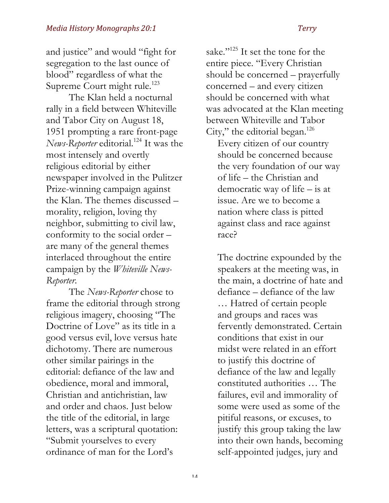and justice" and would "fight for segregation to the last ounce of blood" regardless of what the Supreme Court might rule.<sup>123</sup>

The Klan held a nocturnal rally in a field between Whiteville and Tabor City on August 18, 1951 prompting a rare front-page *News-Reporter* editorial.<sup>124</sup> It was the most intensely and overtly religious editorial by either newspaper involved in the Pulitzer Prize-winning campaign against the Klan. The themes discussed – morality, religion, loving thy neighbor, submitting to civil law, conformity to the social order – are many of the general themes interlaced throughout the entire campaign by the *Whiteville News-Reporter*.

The *News-Reporter* chose to frame the editorial through strong religious imagery, choosing "The Doctrine of Love" as its title in a good versus evil, love versus hate dichotomy. There are numerous other similar pairings in the editorial: defiance of the law and obedience, moral and immoral, Christian and antichristian, law and order and chaos. Just below the title of the editorial, in large letters, was a scriptural quotation: "Submit yourselves to every ordinance of man for the Lord's

sake."<sup>125</sup> It set the tone for the entire piece. "Every Christian should be concerned – prayerfully concerned – and every citizen should be concerned with what was advocated at the Klan meeting between Whiteville and Tabor City," the editorial began.<sup>126</sup>

Every citizen of our country should be concerned because the very foundation of our way of life – the Christian and democratic way of life – is at issue. Are we to become a nation where class is pitted against class and race against race?

The doctrine expounded by the speakers at the meeting was, in the main, a doctrine of hate and defiance – defiance of the law … Hatred of certain people and groups and races was fervently demonstrated. Certain conditions that exist in our midst were related in an effort to justify this doctrine of defiance of the law and legally constituted authorities … The failures, evil and immorality of some were used as some of the pitiful reasons, or excuses, to justify this group taking the law into their own hands, becoming self-appointed judges, jury and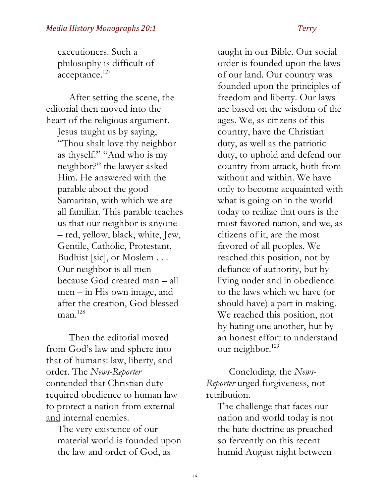executioners. Such a philosophy is difficult of acceptance.<sup>127</sup>

After setting the scene, the editorial then moved into the heart of the religious argument. Jesus taught us by saying, "Thou shalt love thy neighbor as thyself." "And who is my neighbor?" the lawyer asked Him. He answered with the parable about the good Samaritan, with which we are all familiar. This parable teaches us that our neighbor is anyone – red, yellow, black, white, Jew, Gentile, Catholic, Protestant, Budhist [sic], or Moslem . . . Our neighbor is all men because God created man – all men – in His own image, and after the creation, God blessed  $man<sup>128</sup>$ 

Then the editorial moved from God's law and sphere into that of humans: law, liberty, and order. The *News-Reporter*  contended that Christian duty required obedience to human law to protect a nation from external and internal enemies.

The very existence of our material world is founded upon the law and order of God, as

taught in our Bible. Our social order is founded upon the laws of our land. Our country was founded upon the principles of freedom and liberty. Our laws are based on the wisdom of the ages. We, as citizens of this country, have the Christian duty, as well as the patriotic duty, to uphold and defend our country from attack, both from without and within. We have only to become acquainted with what is going on in the world today to realize that ours is the most favored nation, and we, as citizens of it, are the most favored of all peoples. We reached this position, not by defiance of authority, but by living under and in obedience to the laws which we have (or should have) a part in making. We reached this position, not by hating one another, but by an honest effort to understand our neighbor.<sup>129</sup>

Concluding, the *News-Reporter* urged forgiveness, not retribution.

The challenge that faces our nation and world today is not the hate doctrine as preached so fervently on this recent humid August night between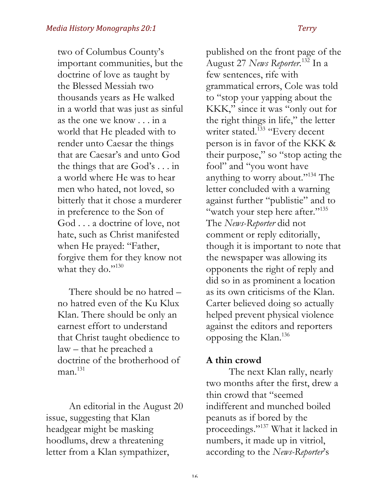two of Columbus County's important communities, but the doctrine of love as taught by the Blessed Messiah two thousands years as He walked in a world that was just as sinful as the one we know . . . in a world that He pleaded with to render unto Caesar the things that are Caesar's and unto God the things that are God's . . . in a world where He was to hear men who hated, not loved, so bitterly that it chose a murderer in preference to the Son of God . . . a doctrine of love, not hate, such as Christ manifested when He prayed: "Father, forgive them for they know not what they do."130

There should be no hatred – no hatred even of the Ku Klux Klan. There should be only an earnest effort to understand that Christ taught obedience to law – that he preached a doctrine of the brotherhood of  $man<sup>131</sup>$ 

An editorial in the August 20 issue, suggesting that Klan headgear might be masking hoodlums, drew a threatening letter from a Klan sympathizer,

published on the front page of the August 27 *News Reporter*. <sup>132</sup> In a few sentences, rife with grammatical errors, Cole was told to "stop your yapping about the KKK," since it was "only out for the right things in life," the letter writer stated.<sup>133</sup> "Every decent person is in favor of the KKK & their purpose," so "stop acting the fool" and "you wont have anything to worry about."<sup>134</sup> The letter concluded with a warning against further "publistie" and to "watch your step here after."<sup>135</sup> The *News-Reporter* did not comment or reply editorially, though it is important to note that the newspaper was allowing its opponents the right of reply and did so in as prominent a location as its own criticisms of the Klan. Carter believed doing so actually helped prevent physical violence against the editors and reporters opposing the Klan.136

### **A thin crowd**

The next Klan rally, nearly two months after the first, drew a thin crowd that "seemed indifferent and munched boiled peanuts as if bored by the proceedings."137 What it lacked in numbers, it made up in vitriol, according to the *News-Reporter*'s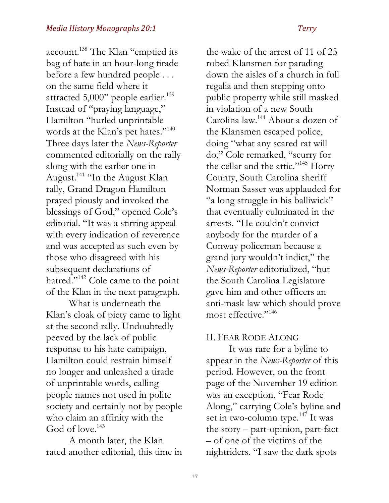account.<sup>138</sup> The Klan "emptied its bag of hate in an hour-long tirade before a few hundred people . . . on the same field where it attracted 5,000" people earlier.<sup>139</sup> Instead of "praying language," Hamilton "hurled unprintable words at the Klan's pet hates."<sup>140</sup> Three days later the *News-Reporter* commented editorially on the rally along with the earlier one in August.141 "In the August Klan rally, Grand Dragon Hamilton prayed piously and invoked the blessings of God," opened Cole's editorial. "It was a stirring appeal with every indication of reverence and was accepted as such even by those who disagreed with his subsequent declarations of hatred."<sup>142</sup> Cole came to the point of the Klan in the next paragraph.

What is underneath the Klan's cloak of piety came to light at the second rally. Undoubtedly peeved by the lack of public response to his hate campaign, Hamilton could restrain himself no longer and unleashed a tirade of unprintable words, calling people names not used in polite society and certainly not by people who claim an affinity with the God of love.<sup>143</sup>

A month later, the Klan rated another editorial, this time in the wake of the arrest of 11 of 25 robed Klansmen for parading down the aisles of a church in full regalia and then stepping onto public property while still masked in violation of a new South Carolina law.144 About a dozen of the Klansmen escaped police, doing "what any scared rat will do," Cole remarked, "scurry for the cellar and the attic."<sup>145</sup> Horry County, South Carolina sheriff Norman Sasser was applauded for "a long struggle in his balliwick" that eventually culminated in the arrests. "He couldn't convict anybody for the murder of a Conway policeman because a grand jury wouldn't indict," the *News-Reporter* editorialized, "but the South Carolina Legislature gave him and other officers an anti-mask law which should prove most effective."<sup>146</sup>

### II. FEAR RODE ALONG

It was rare for a byline to appear in the *News-Reporter* of this period. However, on the front page of the November 19 edition was an exception, "Fear Rode Along," carrying Cole's byline and set in two-column type.<sup>147</sup> It was the story – part-opinion, part-fact – of one of the victims of the nightriders. "I saw the dark spots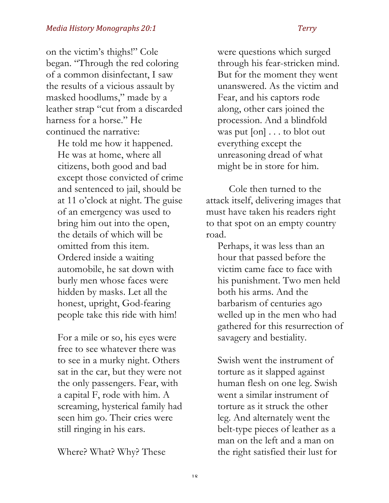# on the victim's thighs!" Cole began. "Through the red coloring of a common disinfectant, I saw the results of a vicious assault by masked hoodlums," made by a leather strap "cut from a discarded harness for a horse." He continued the narrative:

He told me how it happened. He was at home, where all citizens, both good and bad except those convicted of crime and sentenced to jail, should be at 11 o'clock at night. The guise of an emergency was used to bring him out into the open, the details of which will be omitted from this item. Ordered inside a waiting automobile, he sat down with burly men whose faces were hidden by masks. Let all the honest, upright, God-fearing people take this ride with him!

For a mile or so, his eyes were free to see whatever there was to see in a murky night. Others sat in the car, but they were not the only passengers. Fear, with a capital F, rode with him. A screaming, hysterical family had seen him go. Their cries were still ringing in his ears.

Where? What? Why? These

were questions which surged through his fear-stricken mind. But for the moment they went unanswered. As the victim and Fear, and his captors rode along, other cars joined the procession. And a blindfold was put [on] . . . to blot out everything except the unreasoning dread of what might be in store for him.

Cole then turned to the attack itself, delivering images that must have taken his readers right to that spot on an empty country road.

Perhaps, it was less than an hour that passed before the victim came face to face with his punishment. Two men held both his arms. And the barbarism of centuries ago welled up in the men who had gathered for this resurrection of savagery and bestiality.

Swish went the instrument of torture as it slapped against human flesh on one leg. Swish went a similar instrument of torture as it struck the other leg. And alternately went the belt-type pieces of leather as a man on the left and a man on the right satisfied their lust for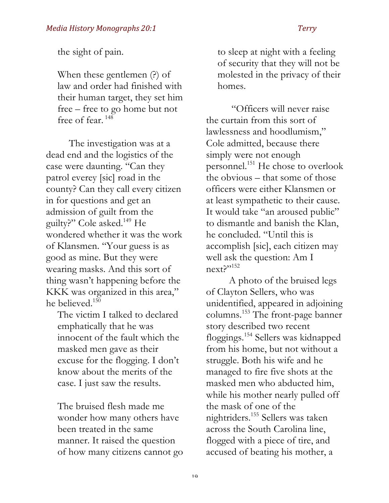the sight of pain.

When these gentlemen (?) of law and order had finished with their human target, they set him free – free to go home but not free of fear.<sup>148</sup>

The investigation was at a dead end and the logistics of the case were daunting. "Can they patrol everey [sic] road in the county? Can they call every citizen in for questions and get an admission of guilt from the guilty?" Cole asked.149 He wondered whether it was the work of Klansmen. "Your guess is as good as mine. But they were wearing masks. And this sort of thing wasn't happening before the KKK was organized in this area," he believed.150

The victim I talked to declared emphatically that he was innocent of the fault which the masked men gave as their excuse for the flogging. I don't know about the merits of the case. I just saw the results.

The bruised flesh made me wonder how many others have been treated in the same manner. It raised the question of how many citizens cannot go to sleep at night with a feeling of security that they will not be molested in the privacy of their homes.

"Officers will never raise the curtain from this sort of lawlessness and hoodlumism," Cole admitted, because there simply were not enough personnel.<sup>151</sup> He chose to overlook the obvious – that some of those officers were either Klansmen or at least sympathetic to their cause. It would take "an aroused public" to dismantle and banish the Klan, he concluded. "Until this is accomplish [sic], each citizen may well ask the question: Am I next?"152

A photo of the bruised legs of Clayton Sellers, who was unidentified, appeared in adjoining columns. <sup>153</sup> The front-page banner story described two recent floggings.154 Sellers was kidnapped from his home, but not without a struggle. Both his wife and he managed to fire five shots at the masked men who abducted him, while his mother nearly pulled off the mask of one of the nightriders.155 Sellers was taken across the South Carolina line, flogged with a piece of tire, and accused of beating his mother, a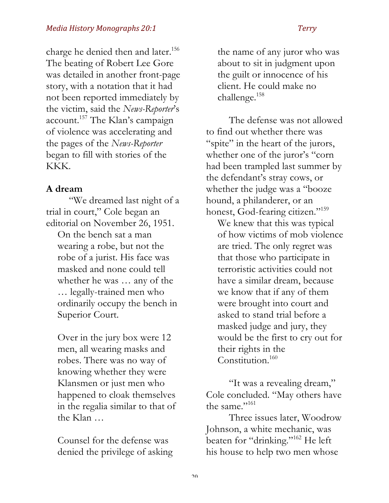charge he denied then and later.<sup>156</sup> The beating of Robert Lee Gore was detailed in another front-page story, with a notation that it had not been reported immediately by the victim, said the *News-Reporter*'s account.<sup>157</sup> The Klan's campaign of violence was accelerating and the pages of the *News-Reporter* began to fill with stories of the KKK.

### **A dream**

"We dreamed last night of a trial in court," Cole began an editorial on November 26, 1951.

On the bench sat a man wearing a robe, but not the robe of a jurist. His face was masked and none could tell whether he was … any of the … legally-trained men who ordinarily occupy the bench in Superior Court.

Over in the jury box were 12 men, all wearing masks and robes. There was no way of knowing whether they were Klansmen or just men who happened to cloak themselves in the regalia similar to that of the Klan …

Counsel for the defense was denied the privilege of asking the name of any juror who was about to sit in judgment upon the guilt or innocence of his client. He could make no challenge.<sup>158</sup>

The defense was not allowed to find out whether there was "spite" in the heart of the jurors, whether one of the juror's "corn had been trampled last summer by the defendant's stray cows, or whether the judge was a "booze hound, a philanderer, or an honest, God-fearing citizen."<sup>159</sup>

We knew that this was typical of how victims of mob violence are tried. The only regret was that those who participate in terroristic activities could not have a similar dream, because we know that if any of them were brought into court and asked to stand trial before a masked judge and jury, they would be the first to cry out for their rights in the Constitution.<sup>160</sup>

"It was a revealing dream," Cole concluded. "May others have the same."<sup>161</sup>

Three issues later, Woodrow Johnson, a white mechanic, was beaten for "drinking."162 He left his house to help two men whose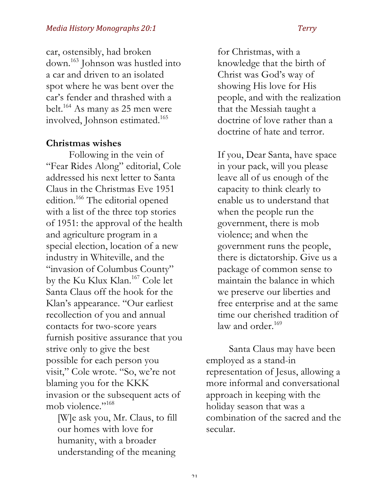car, ostensibly, had broken down.163 Johnson was hustled into a car and driven to an isolated spot where he was bent over the car's fender and thrashed with a belt.164 As many as 25 men were involved, Johnson estimated.<sup>165</sup>

### **Christmas wishes**

Following in the vein of "Fear Rides Along" editorial, Cole addressed his next letter to Santa Claus in the Christmas Eve 1951 edition.<sup>166</sup> The editorial opened with a list of the three top stories of 1951: the approval of the health and agriculture program in a special election, location of a new industry in Whiteville, and the "invasion of Columbus County" by the Ku Klux Klan.167 Cole let Santa Claus off the hook for the Klan's appearance. "Our earliest recollection of you and annual contacts for two-score years furnish positive assurance that you strive only to give the best possible for each person you visit," Cole wrote. "So, we're not blaming you for the KKK invasion or the subsequent acts of mob violence."<sup>168</sup>

[W]e ask you, Mr. Claus, to fill our homes with love for humanity, with a broader understanding of the meaning

for Christmas, with a knowledge that the birth of Christ was God's way of showing His love for His people, and with the realization that the Messiah taught a doctrine of love rather than a doctrine of hate and terror.

If you, Dear Santa, have space in your pack, will you please leave all of us enough of the capacity to think clearly to enable us to understand that when the people run the government, there is mob violence; and when the government runs the people, there is dictatorship. Give us a package of common sense to maintain the balance in which we preserve our liberties and free enterprise and at the same time our cherished tradition of law and order. $169$ 

Santa Claus may have been employed as a stand-in representation of Jesus, allowing a more informal and conversational approach in keeping with the holiday season that was a combination of the sacred and the secular.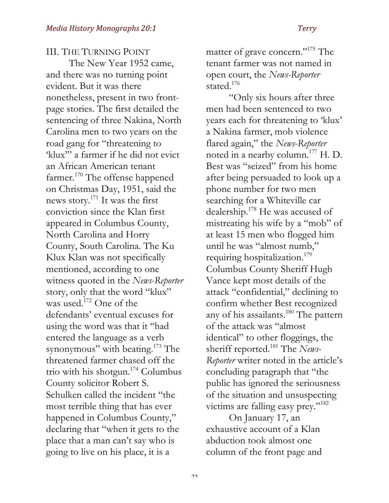III. THE TURNING POINT

The New Year 1952 came, and there was no turning point evident. But it was there nonetheless, present in two frontpage stories. The first detailed the sentencing of three Nakina, North Carolina men to two years on the road gang for "threatening to 'klux'" a farmer if he did not evict an African American tenant farmer.<sup>170</sup> The offense happened on Christmas Day, 1951, said the news story.171 It was the first conviction since the Klan first appeared in Columbus County, North Carolina and Horry County, South Carolina. The Ku Klux Klan was not specifically mentioned, according to one witness quoted in the *News-Reporter* story, only that the word "klux" was used.<sup>172</sup> One of the defendants' eventual excuses for using the word was that it "had entered the language as a verb synonymous" with beating.<sup>173</sup> The threatened farmer chased off the trio with his shotgun.<sup>174</sup> Columbus County solicitor Robert S. Schulken called the incident "the most terrible thing that has ever happened in Columbus County," declaring that "when it gets to the place that a man can't say who is going to live on his place, it is a

matter of grave concern."175 The tenant farmer was not named in open court, the *News-Reporter* stated.<sup>176</sup>

"Only six hours after three men had been sentenced to two years each for threatening to 'klux' a Nakina farmer, mob violence flared again," the *News-Reporter* noted in a nearby column.<sup>177</sup> H. D. Best was "seized" from his home after being persuaded to look up a phone number for two men searching for a Whiteville car dealership.178 He was accused of mistreating his wife by a "mob" of at least 15 men who flogged him until he was "almost numb," requiring hospitalization.<sup>179</sup> Columbus County Sheriff Hugh Vance kept most details of the attack "confidential," declining to confirm whether Best recognized any of his assailants.<sup>180</sup> The pattern of the attack was "almost identical" to other floggings, the sheriff reported.181 The *News-Reporter* writer noted in the article's concluding paragraph that "the public has ignored the seriousness of the situation and unsuspecting victims are falling easy prey."182

On January 17, an exhaustive account of a Klan abduction took almost one column of the front page and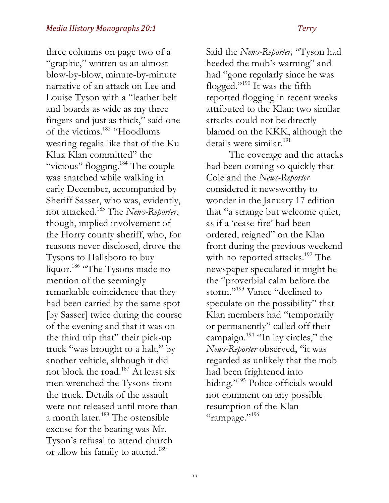three columns on page two of a "graphic," written as an almost blow-by-blow, minute-by-minute narrative of an attack on Lee and Louise Tyson with a "leather belt and boards as wide as my three fingers and just as thick," said one of the victims.183 "Hoodlums wearing regalia like that of the Ku Klux Klan committed" the "vicious" flogging.<sup>184</sup> The couple was snatched while walking in early December, accompanied by Sheriff Sasser, who was, evidently, not attacked.185 The *News-Reporter*, though, implied involvement of the Horry county sheriff, who, for reasons never disclosed, drove the Tysons to Hallsboro to buy liquor.<sup>186</sup> "The Tysons made no mention of the seemingly remarkable coincidence that they had been carried by the same spot [by Sasser] twice during the course of the evening and that it was on the third trip that" their pick-up truck "was brought to a halt," by another vehicle, although it did not block the road.187 At least six men wrenched the Tysons from the truck. Details of the assault were not released until more than a month later.<sup>188</sup> The ostensible excuse for the beating was Mr. Tyson's refusal to attend church or allow his family to attend.<sup>189</sup>

Said the *News-Reporter,* "Tyson had heeded the mob's warning" and had "gone regularly since he was flogged."190 It was the fifth reported flogging in recent weeks attributed to the Klan; two similar attacks could not be directly blamed on the KKK, although the details were similar.<sup>191</sup>

The coverage and the attacks had been coming so quickly that Cole and the *News-Reporter* considered it newsworthy to wonder in the January 17 edition that "a strange but welcome quiet, as if a 'cease-fire' had been ordered, reigned" on the Klan front during the previous weekend with no reported attacks.<sup>192</sup> The newspaper speculated it might be the "proverbial calm before the storm."<sup>193</sup> Vance "declined to speculate on the possibility" that Klan members had "temporarily or permanently" called off their campaign.<sup>194</sup> "In lay circles," the *News-Reporter* observed, "it was regarded as unlikely that the mob had been frightened into hiding."<sup>195</sup> Police officials would not comment on any possible resumption of the Klan "rampage."<sup>196</sup>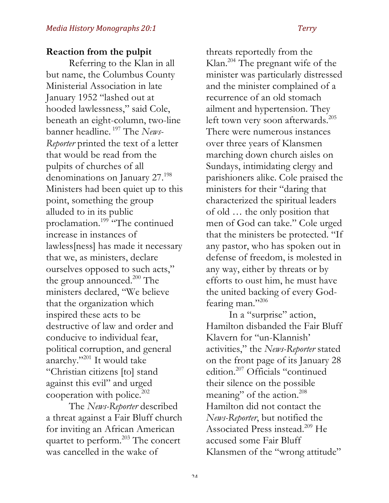## **Reaction from the pulpit**

Referring to the Klan in all but name, the Columbus County Ministerial Association in late January 1952 "lashed out at hooded lawlessness," said Cole, beneath an eight-column, two-line banner headline. <sup>197</sup> The *News-Reporter* printed the text of a letter that would be read from the pulpits of churches of all denominations on January 27.<sup>198</sup> Ministers had been quiet up to this point, something the group alluded to in its public proclamation.<sup>199</sup> "The continued increase in instances of lawless[ness] has made it necessary that we, as ministers, declare ourselves opposed to such acts," the group announced.<sup>200</sup> The ministers declared, "We believe that the organization which inspired these acts to be destructive of law and order and conducive to individual fear, political corruption, and general anarchy."<sup>201</sup> It would take "Christian citizens [to] stand against this evil" and urged cooperation with police.<sup>202</sup>

The *News-Reporter* described a threat against a Fair Bluff church for inviting an African American quartet to perform.<sup>203</sup> The concert was cancelled in the wake of

threats reportedly from the Klan.204 The pregnant wife of the minister was particularly distressed and the minister complained of a recurrence of an old stomach ailment and hypertension. They left town very soon afterwards.<sup>205</sup> There were numerous instances over three years of Klansmen marching down church aisles on Sundays, intimidating clergy and parishioners alike. Cole praised the ministers for their "daring that characterized the spiritual leaders of old … the only position that men of God can take." Cole urged that the ministers be protected. "If any pastor, who has spoken out in defense of freedom, is molested in any way, either by threats or by efforts to oust him, he must have the united backing of every Godfearing man."206

In a "surprise" action, Hamilton disbanded the Fair Bluff Klavern for "un-Klannish' activities," the *News-Reporter* stated on the front page of its January 28 edition.207 Officials "continued their silence on the possible meaning" of the action.<sup>208</sup> Hamilton did not contact the *News-Reporter*, but notified the Associated Press instead.<sup>209</sup> He accused some Fair Bluff Klansmen of the "wrong attitude"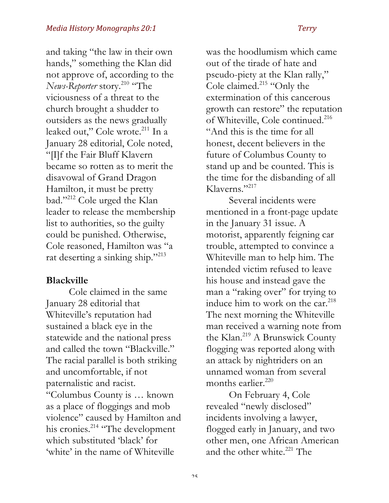and taking "the law in their own hands," something the Klan did not approve of, according to the *News-Reporter* story.<sup>210</sup> "The viciousness of a threat to the church brought a shudder to outsiders as the news gradually leaked out," Cole wrote.<sup>211</sup> In a January 28 editorial, Cole noted, "[I]f the Fair Bluff Klavern became so rotten as to merit the disavowal of Grand Dragon Hamilton, it must be pretty bad."212 Cole urged the Klan leader to release the membership list to authorities, so the guilty could be punished. Otherwise, Cole reasoned, Hamilton was "a rat deserting a sinking ship."213

### **Blackville**

Cole claimed in the same January 28 editorial that Whiteville's reputation had sustained a black eye in the statewide and the national press and called the town "Blackville." The racial parallel is both striking and uncomfortable, if not paternalistic and racist. "Columbus County is … known as a place of floggings and mob violence" caused by Hamilton and his cronies.<sup>214</sup> "The development" which substituted 'black' for 'white' in the name of Whiteville

was the hoodlumism which came out of the tirade of hate and pseudo-piety at the Klan rally," Cole claimed.<sup>215</sup> "Only the extermination of this cancerous growth can restore" the reputation of Whiteville, Cole continued.<sup>216</sup> "And this is the time for all honest, decent believers in the future of Columbus County to stand up and be counted. This is the time for the disbanding of all Klaverns."<sup>217</sup>

Several incidents were mentioned in a front-page update in the January 31 issue. A motorist, apparently feigning car trouble, attempted to convince a Whiteville man to help him. The intended victim refused to leave his house and instead gave the man a "raking over" for trying to induce him to work on the car.<sup>218</sup> The next morning the Whiteville man received a warning note from the Klan.<sup>219</sup> A Brunswick County flogging was reported along with an attack by nightriders on an unnamed woman from several months earlier.<sup>220</sup>

On February 4, Cole revealed "newly disclosed" incidents involving a lawyer, flogged early in January, and two other men, one African American and the other white. $^{221}$  The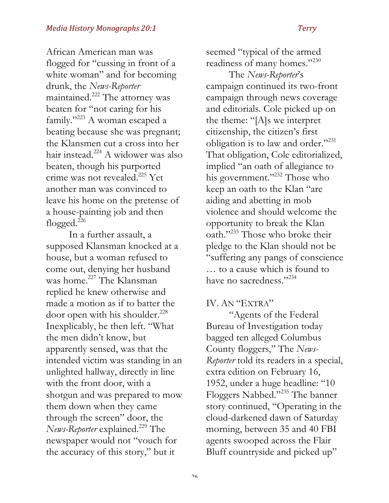African American man was flogged for "cussing in front of a white woman" and for becoming drunk, the *News-Reporter* maintained.222 The attorney was beaten for "not caring for his family."223 A woman escaped a beating because she was pregnant; the Klansmen cut a cross into her hair instead.<sup>224</sup> A widower was also beaten, though his purported crime was not revealed.<sup>225</sup> Yet another man was convinced to leave his home on the pretense of a house-painting job and then flogged. $^{226}$ 

In a further assault, a supposed Klansman knocked at a house, but a woman refused to come out, denying her husband was home.<sup>227</sup> The Klansman replied he knew otherwise and made a motion as if to batter the door open with his shoulder.<sup>228</sup> Inexplicably, he then left. "What the men didn't know, but apparently sensed, was that the intended victim was standing in an unlighted hallway, directly in line with the front door, with a shotgun and was prepared to mow them down when they came through the screen" door, the *News-Reporter* explained.<sup>229</sup> The newspaper would not "vouch for the accuracy of this story," but it

seemed "typical of the armed readiness of many homes."230

The *News-Reporter*'s campaign continued its two-front campaign through news coverage and editorials. Cole picked up on the theme: "[A]s we interpret citizenship, the citizen's first obligation is to law and order."<sup>231</sup> That obligation, Cole editorialized, implied "an oath of allegiance to his government."<sup>232</sup> Those who keep an oath to the Klan "are aiding and abetting in mob violence and should welcome the opportunity to break the Klan oath."<sup>233</sup> Those who broke their pledge to the Klan should not be "suffering any pangs of conscience … to a cause which is found to have no sacredness."234

IV. AN "EXTRA"

"Agents of the Federal Bureau of Investigation today bagged ten alleged Columbus County floggers," The *News-Reporter* told its readers in a special, extra edition on February 16, 1952, under a huge headline: "10 Floggers Nabbed."235 The banner story continued, "Operating in the cloud-darkened dawn of Saturday morning, between 35 and 40 FBI agents swooped across the Flair Bluff countryside and picked up"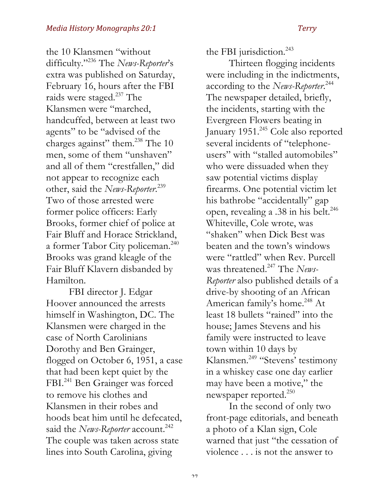the 10 Klansmen "without difficulty."236 The *News-Reporter*'s extra was published on Saturday, February 16, hours after the FBI raids were staged.<sup>237</sup> The Klansmen were "marched, handcuffed, between at least two agents" to be "advised of the charges against" them. $^{238}$  The 10 men, some of them "unshaven" and all of them "crestfallen," did not appear to recognize each other, said the *News-Reporter*. 239 Two of those arrested were former police officers: Early Brooks, former chief of police at Fair Bluff and Horace Strickland, a former Tabor City policeman.<sup>240</sup> Brooks was grand kleagle of the Fair Bluff Klavern disbanded by Hamilton.

FBI director J. Edgar Hoover announced the arrests himself in Washington, DC. The Klansmen were charged in the case of North Carolinians Dorothy and Ben Grainger, flogged on October 6, 1951, a case that had been kept quiet by the FBI.<sup>241</sup> Ben Grainger was forced to remove his clothes and Klansmen in their robes and hoods beat him until he defecated, said the *News-Reporter* account.<sup>242</sup> The couple was taken across state lines into South Carolina, giving

the FBI jurisdiction.<sup>243</sup>

Thirteen flogging incidents were including in the indictments, according to the *News-Reporter*. 244 The newspaper detailed, briefly, the incidents, starting with the Evergreen Flowers beating in January 1951.<sup>245</sup> Cole also reported several incidents of "telephoneusers" with "stalled automobiles" who were dissuaded when they saw potential victims display firearms. One potential victim let his bathrobe "accidentally" gap open, revealing a .38 in his belt.<sup>246</sup> Whiteville, Cole wrote, was "shaken" when Dick Best was beaten and the town's windows were "rattled" when Rev. Purcell was threatened.<sup>247</sup> The *News*-*Reporter* also published details of a drive-by shooting of an African American family's home. <sup>248</sup> At least 18 bullets "rained" into the house; James Stevens and his family were instructed to leave town within 10 days by Klansmen.<sup>249</sup> "Stevens' testimony in a whiskey case one day earlier may have been a motive," the newspaper reported.<sup>250</sup>

In the second of only two front-page editorials, and beneath a photo of a Klan sign, Cole warned that just "the cessation of violence . . . is not the answer to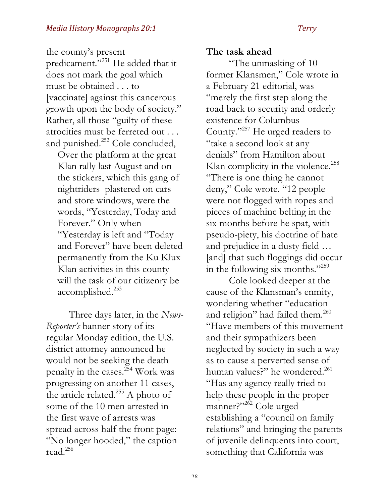the county's present predicament."<sup>251</sup> He added that it does not mark the goal which must be obtained . . . to [vaccinate] against this cancerous growth upon the body of society." Rather, all those "guilty of these atrocities must be ferreted out . . . and punished.<sup>252</sup> Cole concluded,

Over the platform at the great Klan rally last August and on the stickers, which this gang of nightriders plastered on cars and store windows, were the words, "Yesterday, Today and Forever." Only when "Yesterday is left and "Today and Forever" have been deleted permanently from the Ku Klux Klan activities in this county will the task of our citizenry be accomplished.<sup>253</sup>

Three days later, in the *News-Reporter's* banner story of its regular Monday edition, the U.S. district attorney announced he would not be seeking the death penalty in the cases.<sup>254</sup> Work was progressing on another 11 cases, the article related.<sup>255</sup> A photo of some of the 10 men arrested in the first wave of arrests was spread across half the front page: "No longer hooded," the caption read.256

### **The task ahead**

"The unmasking of 10 former Klansmen," Cole wrote in a February 21 editorial, was "merely the first step along the road back to security and orderly existence for Columbus County."257 He urged readers to "take a second look at any denials" from Hamilton about Klan complicity in the violence.<sup>258</sup> "There is one thing he cannot deny," Cole wrote. "12 people were not flogged with ropes and pieces of machine belting in the six months before he spat, with pseudo-piety, his doctrine of hate and prejudice in a dusty field … [and] that such floggings did occur in the following six months."<sup>259</sup>

Cole looked deeper at the cause of the Klansman's enmity, wondering whether "education and religion" had failed them.<sup>260</sup> "Have members of this movement and their sympathizers been neglected by society in such a way as to cause a perverted sense of human values?" he wondered.<sup>261</sup> "Has any agency really tried to help these people in the proper manner?"<sup>262</sup> Cole urged establishing a "council on family relations" and bringing the parents of juvenile delinquents into court, something that California was

ን ହ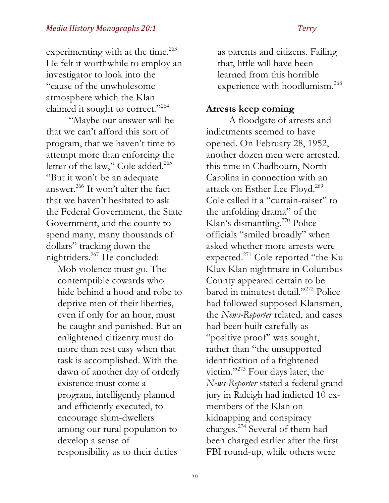experimenting with at the time.<sup>263</sup> He felt it worthwhile to employ an investigator to look into the "cause of the unwholesome atmosphere which the Klan claimed it sought to correct."264

"Maybe our answer will be that we can't afford this sort of program, that we haven't time to attempt more than enforcing the letter of the law," Cole added.<sup>265</sup> "But it won't be an adequate answer.266 It won't alter the fact that we haven't hesitated to ask the Federal Government, the State Government, and the county to spend many, many thousands of dollars" tracking down the nightriders.<sup>267</sup> He concluded:

Mob violence must go. The contemptible cowards who hide behind a hood and robe to deprive men of their liberties, even if only for an hour, must be caught and punished. But an enlightened citizenry must do more than rest easy when that task is accomplished. With the dawn of another day of orderly existence must come a program, intelligently planned and efficiently executed, to encourage slum-dwellers among our rural population to develop a sense of responsibility as to their duties

as parents and citizens. Failing that, little will have been learned from this horrible experience with hoodlumism.<sup>268</sup>

### **Arrests keep coming**

A floodgate of arrests and indictments seemed to have opened. On February 28, 1952, another dozen men were arrested, this time in Chadbourn, North Carolina in connection with an attack on Esther Lee Floyd.<sup>269</sup> Cole called it a "curtain-raiser" to the unfolding drama" of the Klan's dismantling.<sup>270</sup> Police officials "smiled broadly" when asked whether more arrests were expected.<sup>271</sup> Cole reported "the Ku Klux Klan nightmare in Columbus County appeared certain to be bared in minutest detail."<sup>272</sup> Police had followed supposed Klansmen, the *News-Reporter* related, and cases had been built carefully as "positive proof" was sought, rather than "the unsupported identification of a frightened victim."<sup>273</sup> Four days later, the *News-Reporter* stated a federal grand jury in Raleigh had indicted 10 exmembers of the Klan on kidnapping and conspiracy charges.274 Several of them had been charged earlier after the first FBI round-up, while others were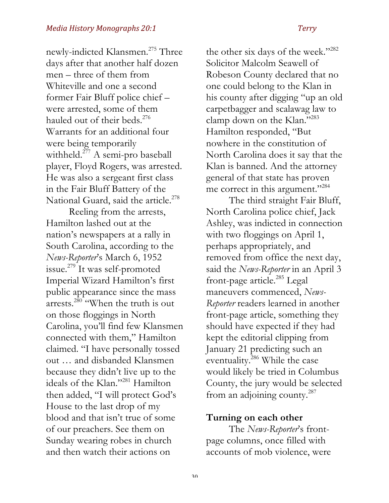newly-indicted Klansmen.<sup>275</sup> Three days after that another half dozen men – three of them from Whiteville and one a second former Fair Bluff police chief – were arrested, some of them hauled out of their beds.<sup>276</sup> Warrants for an additional four were being temporarily withheld.<sup>277</sup> A semi-pro baseball player, Floyd Rogers, was arrested. He was also a sergeant first class in the Fair Bluff Battery of the National Guard, said the article.<sup>278</sup>

Reeling from the arrests, Hamilton lashed out at the nation's newspapers at a rally in South Carolina, according to the *News-Reporter*'s March 6, 1952 issue.279 It was self-promoted Imperial Wizard Hamilton's first public appearance since the mass arrests.<sup>280</sup> "When the truth is out on those floggings in North Carolina, you'll find few Klansmen connected with them," Hamilton claimed. "I have personally tossed out … and disbanded Klansmen because they didn't live up to the ideals of the Klan."281 Hamilton then added, "I will protect God's House to the last drop of my blood and that isn't true of some of our preachers. See them on Sunday wearing robes in church and then watch their actions on

the other six days of the week."<sup>282</sup> Solicitor Malcolm Seawell of Robeson County declared that no one could belong to the Klan in his county after digging "up an old carpetbagger and scalawag law to clamp down on the Klan."283 Hamilton responded, "But nowhere in the constitution of North Carolina does it say that the Klan is banned. And the attorney general of that state has proven me correct in this argument."<sup>284</sup>

The third straight Fair Bluff, North Carolina police chief, Jack Ashley, was indicted in connection with two floggings on April 1, perhaps appropriately, and removed from office the next day, said the *News-Reporter* in an April 3 front-page article.<sup>285</sup> Legal maneuvers commenced, *News-Reporter* readers learned in another front-page article, something they should have expected if they had kept the editorial clipping from January 21 predicting such an eventuality.<sup>286</sup> While the case would likely be tried in Columbus County, the jury would be selected from an adjoining county.<sup>287</sup>

### **Turning on each other**

The *News-Reporter*'s frontpage columns, once filled with accounts of mob violence, were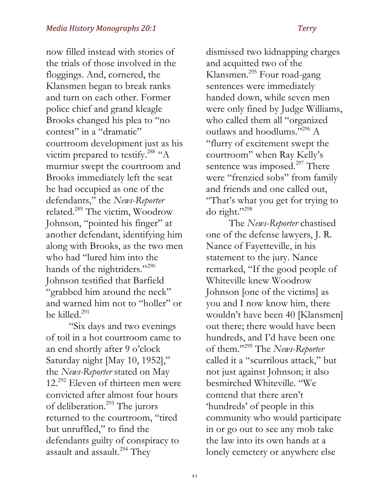now filled instead with stories of the trials of those involved in the floggings. And, cornered, the Klansmen began to break ranks and turn on each other. Former police chief and grand kleagle Brooks changed his plea to "no contest" in a "dramatic" courtroom development just as his victim prepared to testify.<sup>288</sup> "A murmur swept the courtroom and Brooks immediately left the seat he had occupied as one of the defendants," the *News-Reporter* related.289 The victim, Woodrow Johnson, "pointed his finger" at another defendant, identifying him along with Brooks, as the two men who had "lured him into the hands of the nightriders."<sup>290</sup> Johnson testified that Barfield "grabbed him around the neck" and warned him not to "holler" or be killed.<sup>291</sup>

"Six days and two evenings of toil in a hot courtroom came to an end shortly after 9 o'clock Saturday night [May 10, 1952]," the *News-Reporter* stated on May 12.292 Eleven of thirteen men were convicted after almost four hours of deliberation.293 The jurors returned to the courtroom, "tired but unruffled," to find the defendants guilty of conspiracy to assault and assault.<sup>294</sup> They

dismissed two kidnapping charges and acquitted two of the Klansmen.295 Four road-gang sentences were immediately handed down, while seven men were only fined by Judge Williams, who called them all "organized outlaws and hoodlums."296 A "flurry of excitement swept the courtroom" when Ray Kelly's sentence was imposed.<sup>297</sup> There were "frenzied sobs" from family and friends and one called out, "That's what you get for trying to do right."298

The *News-Reporter* chastised one of the defense lawyers, J. R. Nance of Fayetteville, in his statement to the jury. Nance remarked, "If the good people of Whiteville knew Woodrow Johnson [one of the victims] as you and I now know him, there wouldn't have been 40 [Klansmen] out there; there would have been hundreds, and I'd have been one of them."299 The *News-Reporter* called it a "scurrilous attack," but not just against Johnson; it also besmirched Whiteville. "We contend that there aren't 'hundreds' of people in this community who would participate in or go out to see any mob take the law into its own hands at a lonely cemetery or anywhere else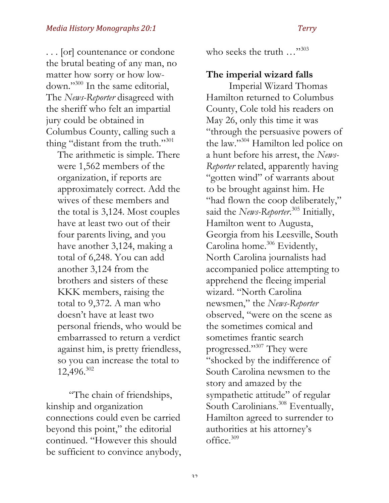. . . [or] countenance or condone the brutal beating of any man, no matter how sorry or how lowdown."300 In the same editorial, The *News-Reporter* disagreed with the sheriff who felt an impartial jury could be obtained in Columbus County, calling such a thing "distant from the truth."<sup>301</sup>

The arithmetic is simple. There were 1,562 members of the organization, if reports are approximately correct. Add the wives of these members and the total is 3,124. Most couples have at least two out of their four parents living, and you have another 3,124, making a total of 6,248. You can add another 3,124 from the brothers and sisters of these KKK members, raising the total to 9,372. A man who doesn't have at least two personal friends, who would be embarrassed to return a verdict against him, is pretty friendless, so you can increase the total to 12,496.302

"The chain of friendships, kinship and organization connections could even be carried beyond this point," the editorial continued. "However this should be sufficient to convince anybody, who seeks the truth ..."<sup>303</sup>

### **The imperial wizard falls**

Imperial Wizard Thomas Hamilton returned to Columbus County, Cole told his readers on May 26, only this time it was "through the persuasive powers of the law."304 Hamilton led police on a hunt before his arrest, the *News-Reporter* related, apparently having "gotten wind" of warrants about to be brought against him. He "had flown the coop deliberately," said the *News-Reporter*. <sup>305</sup> Initially, Hamilton went to Augusta, Georgia from his Leesville, South Carolina home.<sup>306</sup> Evidently, North Carolina journalists had accompanied police attempting to apprehend the fleeing imperial wizard. "North Carolina newsmen," the *News-Reporter* observed, "were on the scene as the sometimes comical and sometimes frantic search progressed."307 They were "shocked by the indifference of South Carolina newsmen to the story and amazed by the sympathetic attitude" of regular South Carolinians.<sup>308</sup> Eventually, Hamilton agreed to surrender to authorities at his attorney's office.309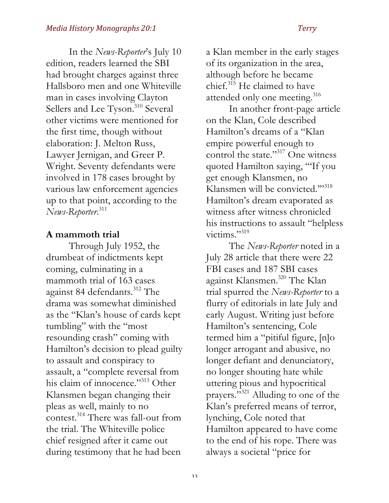In the *News-Reporter*'s July 10 edition, readers learned the SBI had brought charges against three Hallsboro men and one Whiteville man in cases involving Clayton Sellers and Lee Tyson.<sup>310</sup> Several other victims were mentioned for the first time, though without elaboration: J. Melton Russ, Lawyer Jernigan, and Greer P. Wright. Seventy defendants were involved in 178 cases brought by various law enforcement agencies up to that point, according to the *News-Reporter*. 311

### **A mammoth trial**

Through July 1952, the drumbeat of indictments kept coming, culminating in a mammoth trial of 163 cases against 84 defendants.<sup>312</sup> The drama was somewhat diminished as the "Klan's house of cards kept tumbling" with the "most resounding crash" coming with Hamilton's decision to plead guilty to assault and conspiracy to assault, a "complete reversal from his claim of innocence."313 Other Klansmen began changing their pleas as well, mainly to no contest.<sup>314</sup> There was fall-out from the trial. The Whiteville police chief resigned after it came out during testimony that he had been

a Klan member in the early stages of its organization in the area, although before he became chief.315 He claimed to have attended only one meeting.<sup>316</sup>

In another front-page article on the Klan, Cole described Hamilton's dreams of a "Klan empire powerful enough to control the state."<sup>317</sup> One witness quoted Hamilton saying, "'If you get enough Klansmen, no Klansmen will be convicted.""318 Hamilton's dream evaporated as witness after witness chronicled his instructions to assault "helpless victims."<sup>319</sup>

The *News-Reporter* noted in a July 28 article that there were 22 FBI cases and 187 SBI cases against Klansmen.320 The Klan trial spurred the *News-Reporter* to a flurry of editorials in late July and early August. Writing just before Hamilton's sentencing, Cole termed him a "pitiful figure, [n]o longer arrogant and abusive, no longer defiant and denunciatory, no longer shouting hate while uttering pious and hypocritical prayers."321 Alluding to one of the Klan's preferred means of terror, lynching, Cole noted that Hamilton appeared to have come to the end of his rope. There was always a societal "price for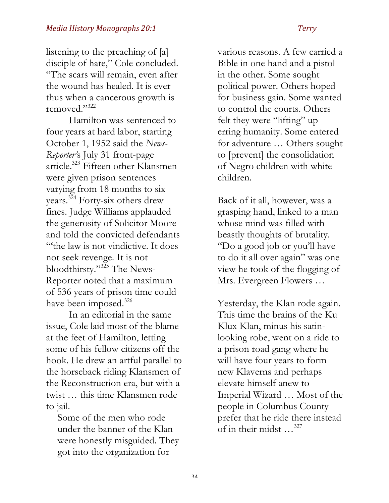listening to the preaching of [a] disciple of hate," Cole concluded. "The scars will remain, even after the wound has healed. It is ever thus when a cancerous growth is removed."322

Hamilton was sentenced to four years at hard labor, starting October 1, 1952 said the *News-Reporter'*s July 31 front-page article.323 Fifteen other Klansmen were given prison sentences varying from 18 months to six years.<sup>324</sup> Forty-six others drew fines. Judge Williams applauded the generosity of Solicitor Moore and told the convicted defendants "'the law is not vindictive. It does not seek revenge. It is not bloodthirsty."325 The News-Reporter noted that a maximum of 536 years of prison time could have been imposed.<sup>326</sup>

In an editorial in the same issue, Cole laid most of the blame at the feet of Hamilton, letting some of his fellow citizens off the hook. He drew an artful parallel to the horseback riding Klansmen of the Reconstruction era, but with a twist … this time Klansmen rode to jail.

Some of the men who rode under the banner of the Klan were honestly misguided. They got into the organization for

various reasons. A few carried a Bible in one hand and a pistol in the other. Some sought political power. Others hoped for business gain. Some wanted to control the courts. Others felt they were "lifting" up erring humanity. Some entered for adventure … Others sought to [prevent] the consolidation of Negro children with white children.

Back of it all, however, was a grasping hand, linked to a man whose mind was filled with beastly thoughts of brutality. "Do a good job or you'll have to do it all over again" was one view he took of the flogging of Mrs. Evergreen Flowers …

Yesterday, the Klan rode again. This time the brains of the Ku Klux Klan, minus his satinlooking robe, went on a ride to a prison road gang where he will have four years to form new Klaverns and perhaps elevate himself anew to Imperial Wizard … Most of the people in Columbus County prefer that he ride there instead of in their midst …327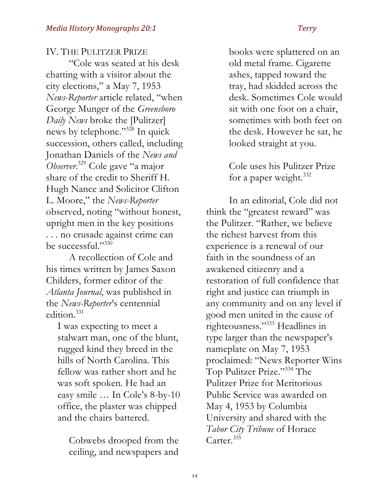# IV. THE PULITZER PRIZE "Cole was seated at his desk chatting with a visitor about the city elections," a May 7, 1953 *News-Reporter* article related, "when George Munger of the *Greensboro Daily News* broke the [Pulitzer] news by telephone."328 In quick succession, others called, including Jonathan Daniels of the *News and Observer*. <sup>329</sup> Cole gave "a major share of the credit to Sheriff H. Hugh Nance and Solicitor Clifton L. Moore," the *News-Reporter* observed, noting "without honest, upright men in the key positions . . . no crusade against crime can be successful."330

A recollection of Cole and his times written by James Saxon Childers, former editor of the *Atlanta Journal*, was published in the *News-Reporter*'s centennial edition.<sup>331</sup>

I was expecting to meet a stalwart man, one of the blunt, rugged kind they breed in the hills of North Carolina. This fellow was rather short and he was soft spoken. He had an easy smile … In Cole's 8-by-10 office, the plaster was chipped and the chairs battered.

Cobwebs drooped from the ceiling, and newspapers and books were splattered on an old metal frame. Cigarette ashes, tapped toward the tray, had skidded across the desk. Sometimes Cole would sit with one foot on a chair, sometimes with both feet on the desk. However he sat, he looked straight at you.

Cole uses his Pulitzer Prize for a paper weight.<sup>332</sup>

In an editorial, Cole did not think the "greatest reward" was the Pulitzer. "Rather, we believe the richest harvest from this experience is a renewal of our faith in the soundness of an awakened citizenry and a restoration of full confidence that right and justice can triumph in any community and on any level if good men united in the cause of righteousness."333 Headlines in type larger than the newspaper's nameplate on May 7, 1953 proclaimed: "News Reporter Wins Top Pulitzer Prize."334 The Pulitzer Prize for Meritorious Public Service was awarded on May 4, 1953 by Columbia University and shared with the *Tabor City Tribune* of Horace Carter.<sup>335</sup>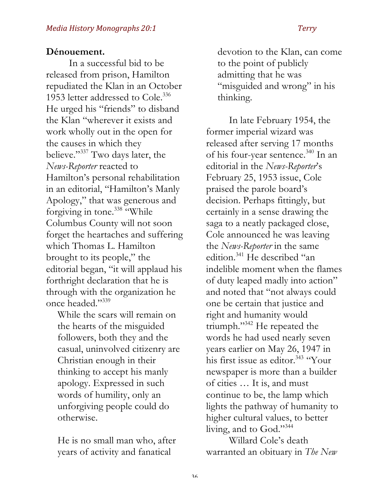## **Dénouement.**

In a successful bid to be released from prison, Hamilton repudiated the Klan in an October 1953 letter addressed to Cole.<sup>336</sup> He urged his "friends" to disband the Klan "wherever it exists and work wholly out in the open for the causes in which they believe."337 Two days later, the *News-Reporter* reacted to Hamilton's personal rehabilitation in an editorial, "Hamilton's Manly Apology," that was generous and forgiving in tone.338 "While Columbus County will not soon forget the heartaches and suffering which Thomas L. Hamilton brought to its people," the editorial began, "it will applaud his forthright declaration that he is through with the organization he once headed."339

While the scars will remain on the hearts of the misguided followers, both they and the casual, uninvolved citizenry are Christian enough in their thinking to accept his manly apology. Expressed in such words of humility, only an unforgiving people could do otherwise.

He is no small man who, after years of activity and fanatical

devotion to the Klan, can come to the point of publicly admitting that he was "misguided and wrong" in his thinking.

In late February 1954, the former imperial wizard was released after serving 17 months of his four-year sentence.<sup>340</sup> In an editorial in the *News-Reporter*'s February 25, 1953 issue, Cole praised the parole board's decision. Perhaps fittingly, but certainly in a sense drawing the saga to a neatly packaged close, Cole announced he was leaving the *News-Reporter* in the same edition.341 He described "an indelible moment when the flames of duty leaped madly into action" and noted that "not always could one be certain that justice and right and humanity would triumph."342 He repeated the words he had used nearly seven years earlier on May 26, 1947 in his first issue as editor.<sup>343</sup> "Your newspaper is more than a builder of cities … It is, and must continue to be, the lamp which lights the pathway of humanity to higher cultural values, to better living, and to God."344

Willard Cole's death warranted an obituary in *The New*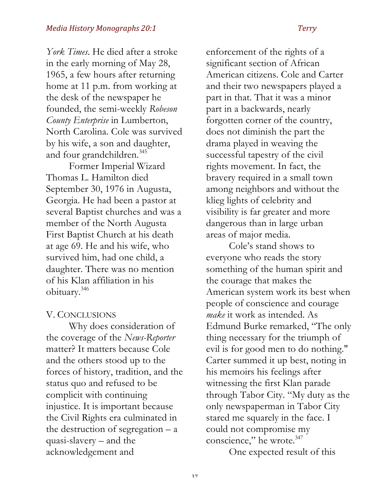*York Times*. He died after a stroke in the early morning of May 28, 1965, a few hours after returning home at 11 p.m. from working at the desk of the newspaper he founded, the semi-weekly *Robeson County Enterprise* in Lumberton, North Carolina. Cole was survived by his wife, a son and daughter, and four grandchildren.<sup>345</sup>

Former Imperial Wizard Thomas L. Hamilton died September 30, 1976 in Augusta, Georgia. He had been a pastor at several Baptist churches and was a member of the North Augusta First Baptist Church at his death at age 69. He and his wife, who survived him, had one child, a daughter. There was no mention of his Klan affiliation in his obituary.346

### V. CONCLUSIONS

Why does consideration of the coverage of the *News-Reporter* matter? It matters because Cole and the others stood up to the forces of history, tradition, and the status quo and refused to be complicit with continuing injustice. It is important because the Civil Rights era culminated in the destruction of segregation  $- a$ quasi-slavery – and the acknowledgement and

enforcement of the rights of a significant section of African American citizens. Cole and Carter and their two newspapers played a part in that. That it was a minor part in a backwards, nearly forgotten corner of the country, does not diminish the part the drama played in weaving the successful tapestry of the civil rights movement. In fact, the bravery required in a small town among neighbors and without the klieg lights of celebrity and visibility is far greater and more dangerous than in large urban areas of major media.

Cole's stand shows to everyone who reads the story something of the human spirit and the courage that makes the American system work its best when people of conscience and courage *make* it work as intended. As Edmund Burke remarked, "The only thing necessary for the triumph of evil is for good men to do nothing." Carter summed it up best, noting in his memoirs his feelings after witnessing the first Klan parade through Tabor City. "My duty as the only newspaperman in Tabor City stared me squarely in the face. I could not compromise my conscience," he wrote.<sup>347</sup>

One expected result of this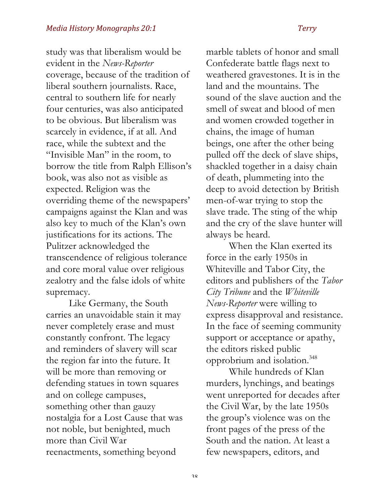study was that liberalism would be evident in the *News-Reporter*  coverage, because of the tradition of liberal southern journalists. Race, central to southern life for nearly four centuries, was also anticipated to be obvious. But liberalism was scarcely in evidence, if at all. And race, while the subtext and the "Invisible Man" in the room, to borrow the title from Ralph Ellison's book, was also not as visible as expected. Religion was the overriding theme of the newspapers' campaigns against the Klan and was also key to much of the Klan's own justifications for its actions. The Pulitzer acknowledged the transcendence of religious tolerance and core moral value over religious zealotry and the false idols of white supremacy.

Like Germany, the South carries an unavoidable stain it may never completely erase and must constantly confront. The legacy and reminders of slavery will scar the region far into the future. It will be more than removing or defending statues in town squares and on college campuses, something other than gauzy nostalgia for a Lost Cause that was not noble, but benighted, much more than Civil War reenactments, something beyond

marble tablets of honor and small Confederate battle flags next to weathered gravestones. It is in the land and the mountains. The sound of the slave auction and the smell of sweat and blood of men and women crowded together in chains, the image of human beings, one after the other being pulled off the deck of slave ships, shackled together in a daisy chain of death, plummeting into the deep to avoid detection by British men-of-war trying to stop the slave trade. The sting of the whip and the cry of the slave hunter will always be heard.

When the Klan exerted its force in the early 1950s in Whiteville and Tabor City, the editors and publishers of the *Tabor City Tribune* and the *Whiteville News-Reporter* were willing to express disapproval and resistance. In the face of seeming community support or acceptance or apathy, the editors risked public opprobrium and isolation.348

While hundreds of Klan murders, lynchings, and beatings went unreported for decades after the Civil War, by the late 1950s the group's violence was on the front pages of the press of the South and the nation. At least a few newspapers, editors, and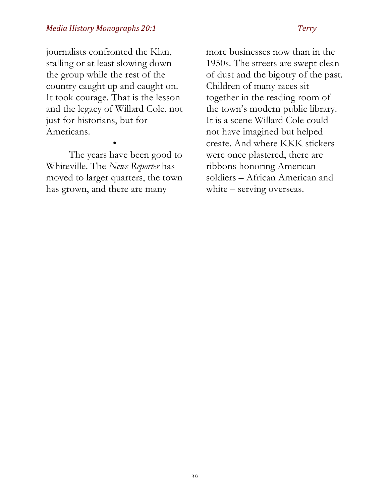journalists confronted the Klan, stalling or at least slowing down the group while the rest of the country caught up and caught on. It took courage. That is the lesson and the legacy of Willard Cole, not just for historians, but for Americans.

The years have been good to Whiteville. The *News Reporter* has moved to larger quarters, the town has grown, and there are many

•

more businesses now than in the 1950s. The streets are swept clean of dust and the bigotry of the past. Children of many races sit together in the reading room of the town's modern public library. It is a scene Willard Cole could not have imagined but helped create. And where KKK stickers were once plastered, there are ribbons honoring American soldiers – African American and white – serving overseas.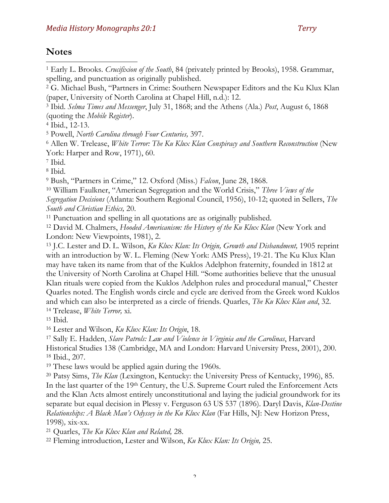# **Notes**

1

<sup>1</sup> Early L. Brooks. *Crucifixion of the South*, 84 (privately printed by Brooks), 1958. Grammar, spelling, and punctuation as originally published.

<sup>3</sup> Ibid. *Selma Times and Messenger*, July 31, 1868; and the Athens (Ala.) *Post*, August 6, 1868 (quoting the *Mobile Register*).

<sup>7</sup> Ibid.

<sup>8</sup> Ibid.

<sup>9</sup> Bush, "Partners in Crime," 12. Oxford (Miss.) *Falcon*, June 28, 1868.

<sup>10</sup> William Faulkner, "American Segregation and the World Crisis," *Three Views of the Segregation Decisions* (Atlanta: Southern Regional Council, 1956), 10-12; quoted in Sellers, *The South and Christian Ethics,* 20.

<sup>11</sup> Punctuation and spelling in all quotations are as originally published.

<sup>12</sup> David M. Chalmers, *Hooded Americanism: the History of the Ku Klux Klan* (New York and London: New Viewpoints, 1981), 2.

<sup>13</sup> J.C. Lester and D. L. Wilson, *Ku Klux Klan: Its Origin, Growth and Disbandment,* 1905 reprint with an introduction by W. L. Fleming (New York: AMS Press), 19-21. The Ku Klux Klan may have taken its name from that of the Kuklos Adelphon fraternity, founded in 1812 at the University of North Carolina at Chapel Hill. "Some authorities believe that the unusual Klan rituals were copied from the Kuklos Adelphon rules and procedural manual," Chester Quarles noted. The English words circle and cycle are derived from the Greek word Kuklos and which can also be interpreted as a circle of friends. Quarles, *The Ku Klux Klan and*, 32. <sup>14</sup> Trelease, *White Terror,* xi.

<sup>15</sup> Ibid.

<sup>16</sup> Lester and Wilson, *Ku Klux Klan: Its Origin*, 18.

<sup>17</sup> Sally E. Hadden, *Slave Patrols: Law and Violence in Virginia and the Carolinas*, Harvard Historical Studies 138 (Cambridge, MA and London: Harvard University Press, 2001), 200. <sup>18</sup> Ibid., 207.

<sup>19</sup> These laws would be applied again during the 1960s.

<sup>20</sup> Patsy Sims, *The Klan* (Lexington, Kentucky: the University Press of Kentucky, 1996), 85. In the last quarter of the 19th Century, the U.S. Supreme Court ruled the Enforcement Acts and the Klan Acts almost entirely unconstitutional and laying the judicial groundwork for its separate but equal decision in Plessy v. Ferguson 63 US 537 (1896). Daryl Davis, *Klan-Destine Relationships: A Black Man's Odyssey in the Ku Klux Klan* (Far Hills, NJ: New Horizon Press, 1998)*,* xix-xx.

<sup>21</sup> Quarles, *The Ku Klux Klan and Related,* 28.

<sup>22</sup> Fleming introduction, Lester and Wilson, *Ku Klux Klan: Its Origin,* 25.

<sup>2</sup> G. Michael Bush, "Partners in Crime: Southern Newspaper Editors and the Ku Klux Klan (paper, University of North Carolina at Chapel Hill, n.d.): 12.

<sup>4</sup> Ibid., 12-13.

<sup>5</sup> Powell, *North Carolina through Four Centuries,* 397.

<sup>6</sup> Allen W. Trelease, *White Terror: The Ku Klux Klan Conspiracy and Southern Reconstruction* (New York: Harper and Row, 1971), 60.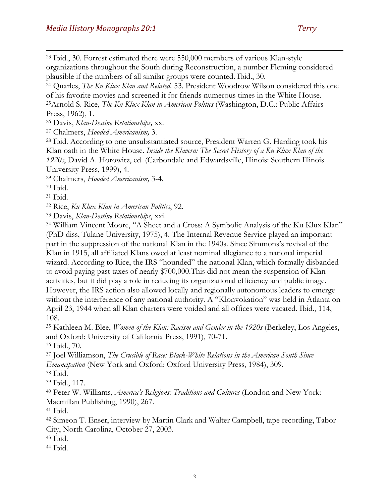<sup>23</sup> Ibid., 30. Forrest estimated there were 550,000 members of various Klan-style organizations throughout the South during Reconstruction, a number Fleming considered plausible if the numbers of all similar groups were counted. Ibid., 30.

<sup>24</sup> Quarles, *The Ku Klux Klan and Related,* 53. President Woodrow Wilson considered this one of his favorite movies and screened it for friends numerous times in the White House. 25Arnold S. Rice, *The Ku Klux Klan in American Politics* (Washington, D.C.: Public Affairs

Press, 1962), 1.

1

<sup>26</sup> Davis, *Klan-Destine Relationships,* xx.

<sup>27</sup> Chalmers, *Hooded Americanism,* 3.

<sup>28</sup> Ibid. According to one unsubstantiated source, President Warren G. Harding took his Klan oath in the White House. *Inside the Klavern: The Secret History of a Ku Klux Klan of the 1920s*, David A. Horowitz, ed. (Carbondale and Edwardsville, Illinois: Southern Illinois University Press, 1999), 4.

<sup>29</sup> Chalmers, *Hooded Americanism,* 3-4.

<sup>30</sup> Ibid.

<sup>31</sup> Ibid.

<sup>32</sup> Rice, *Ku Klux Klan in American Politics*, 92.

<sup>33</sup> Davis, *Klan-Destine Relationships*, xxi.

<sup>34</sup> William Vincent Moore, "A Sheet and a Cross: A Symbolic Analysis of the Ku Klux Klan" (PhD diss, Tulane University, 1975), 4. The Internal Revenue Service played an important part in the suppression of the national Klan in the 1940s. Since Simmons's revival of the Klan in 1915, all affiliated Klans owed at least nominal allegiance to a national imperial wizard. According to Rice, the IRS "hounded" the national Klan, which formally disbanded to avoid paying past taxes of nearly \$700,000.This did not mean the suspension of Klan activities, but it did play a role in reducing its organizational efficiency and public image. However, the IRS action also allowed locally and regionally autonomous leaders to emerge without the interference of any national authority. A "Klonvokation" was held in Atlanta on April 23, 1944 when all Klan charters were voided and all offices were vacated. Ibid., 114, 108.

<sup>35</sup> Kathleen M. Blee, *Women of the Klan: Racism and Gender in the 1920s* (Berkeley, Los Angeles, and Oxford: University of California Press, 1991), 70-71.

<sup>36</sup> Ibid., 70.

<sup>37</sup> Joel Williamson, *The Crucible of Race: Black-White Relations in the American South Since Emancipation* (New York and Oxford: Oxford University Press, 1984), 309.

<sup>38</sup> Ibid.

<sup>39</sup> Ibid., 117.

<sup>40</sup> Peter W. Williams, *America's Religions: Traditions and Cultures* (London and New York: Macmillan Publishing, 1990), 267.

<sup>41</sup> Ibid.

<sup>42</sup> Simeon T. Enser, interview by Martin Clark and Walter Campbell, tape recording, Tabor City, North Carolina, October 27, 2003.

<sup>43</sup> Ibid.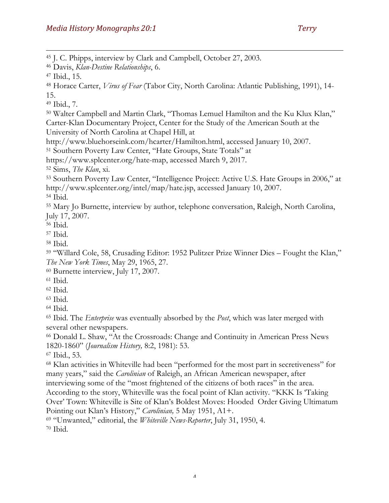J. C. Phipps, interview by Clark and Campbell, October 27, 2003.

Ibid., 7.

 Walter Campbell and Martin Clark, "Thomas Lemuel Hamilton and the Ku Klux Klan," Carter-Klan Documentary Project, Center for the Study of the American South at the University of North Carolina at Chapel Hill, at

http://www.bluehorseink.com/hcarter/Hamilton.html, accessed January 10, 2007.

Southern Poverty Law Center, "Hate Groups, State Totals" at

https://www.splcenter.org/hate-map, accessed March 9, 2017.

Sims, *The Klan*, xi.

 Southern Poverty Law Center, "Intelligence Project: Active U.S. Hate Groups in 2006," at http://www.splcenter.org/intel/map/hate.jsp, accessed January 10, 2007.

Ibid.

 Mary Jo Burnette, interview by author, telephone conversation, Raleigh, North Carolina, July 17, 2007.

Ibid.

Ibid.

Ibid.

 "Willard Cole, 58, Crusading Editor: 1952 Pulitzer Prize Winner Dies – Fought the Klan," *The New York Times*, May 29, 1965, 27.

Burnette interview, July 17, 2007.

Ibid.

Ibid.

Ibid.

Ibid.

 Ibid. The *Enterprise* was eventually absorbed by the *Post*, which was later merged with several other newspapers.

 Donald L. Shaw, "At the Crossroads: Change and Continuity in American Press News 1820-1860" (*Journalism History,* 8:2, 1981): 53.

Ibid., 53.

 Klan activities in Whiteville had been "performed for the most part in secretiveness" for many years," said the *Carolinian* of Raleigh, an African American newspaper, after interviewing some of the "most frightened of the citizens of both races" in the area.

According to the story, Whiteville was the focal point of Klan activity. "KKK Is 'Taking Over' Town: Whiteville is Site of Klan's Boldest Moves: Hooded Order Giving Ultimatum Pointing out Klan's History," *Carolinian,* 5 May 1951, A1+.

"Unwanted," editorial, the *Whiteville News-Reporter*, July 31, 1950, 4.

Davis, *Klan-Destine Relationships*, 6.

Ibid., 15.

 Horace Carter, *Virus of Fear* (Tabor City, North Carolina: Atlantic Publishing, 1991), 14- 15.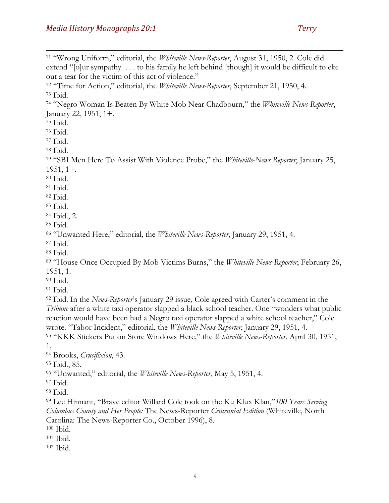"Wrong Uniform," editorial, the *Whiteville News-Reporter*, August 31, 1950, 2. Cole did extend "[o]ur sympathy . . . to his family he left behind [though] it would be difficult to eke out a tear for the victim of this act of violence." "Time for Action," editorial, the *Whiteville News-Reporter*, September 21, 1950, 4. Ibid. "Negro Woman Is Beaten By White Mob Near Chadbourn," the *Whiteville News-Reporter*, January 22, 1951, 1+. Ibid. Ibid. Ibid. Ibid. "SBI Men Here To Assist With Violence Probe," the *Whiteville-News Reporter*, January 25, 1951, 1+. Ibid. Ibid. Ibid. Ibid. Ibid., 2. Ibid. "Unwanted Here," editorial, the *Whiteville News-Reporter*, January 29, 1951, 4. Ibid. Ibid. "House Once Occupied By Mob Victims Burns," the *Whiteville News-Reporter*, February 26, 1951, 1. Ibid. Ibid. Ibid. In the *News-Reporter*'s January 29 issue, Cole agreed with Carter's comment in the *Tribune* after a white taxi operator slapped a black school teacher. One "wonders what public reaction would have been had a Negro taxi operator slapped a white school teacher," Cole wrote. "Tabor Incident," editorial, the *Whiteville News-Reporter*, January 29, 1951, 4. "KKK Stickers Put on Store Windows Here," the *Whiteville News-Reporter*, April 30, 1951, 1. Brooks, *Crucifixion*, 43.

Ibid., 85.

"Unwanted," editorial, the *Whiteville News-Reporter*, May 5, 1951, 4.

Ibid.

Ibid.

 Lee Hinnant, "Brave editor Willard Cole took on the Ku Klux Klan,"*100 Years Serving Columbus County and Her People:* The News-Reporter *Centennial Edition* (Whiteville, North Carolina: The News-Reporter Co., October 1996), 8.

- Ibid.
- Ibid.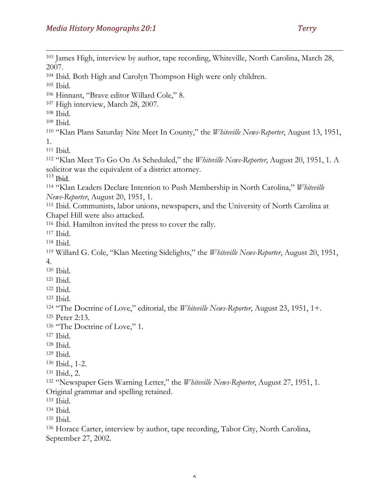<sup>103</sup> James High, interview by author, tape recording, Whiteville, North Carolina, March 28, 2007. Ibid. Both High and Carolyn Thompson High were only children. Ibid. Hinnant, "Brave editor Willard Cole," 8. High interview, March 28, 2007. Ibid. Ibid. "Klan Plans Saturday Nite Meet In County," the *Whiteville News-Reporter*, August 13, 1951, 1. Ibid. "Klan Meet To Go On As Scheduled," the *Whiteville News-Reporter*, August 20, 1951, 1. A solicitor was the equivalent of a district attorney. Ibid. "Klan Leaders Declare Intention to Push Membership in North Carolina," *Whiteville News-Reporter*, August 20, 1951, 1. Ibid. Communists, labor unions, newspapers, and the University of North Carolina at Chapel Hill were also attacked. Ibid. Hamilton invited the press to cover the rally. Ibid. Ibid. Willard G. Cole, "Klan Meeting Sidelights," the *Whiteville News-Reporter*, August 20, 1951, 4. Ibid. Ibid. Ibid. Ibid. "The Doctrine of Love," editorial, the *Whiteville News-Reporter*, August 23, 1951, 1+. Peter 2:13. 126 "The Doctrine of Love," 1. Ibid. Ibid. Ibid. Ibid., 1-2. Ibid., 2. "Newspaper Gets Warning Letter," the *Whiteville News-Reporter*, August 27, 1951, 1. Original grammar and spelling retained. Ibid. Ibid. Ibid. Horace Carter, interview by author, tape recording, Tabor City, North Carolina, September 27, 2002.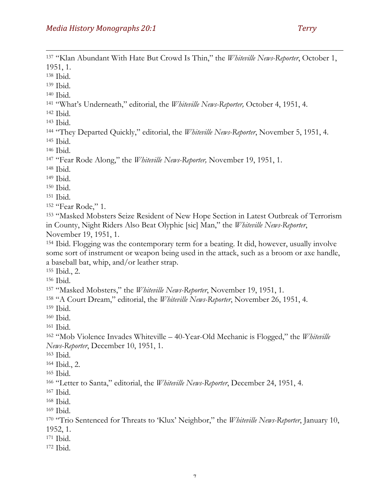"Klan Abundant With Hate But Crowd Is Thin," the *Whiteville News-Reporter*, October 1, 1951, 1. Ibid. Ibid. Ibid. "What's Underneath," editorial, the *Whiteville News-Reporter,* October 4, 1951, 4. Ibid. Ibid. "They Departed Quickly," editorial, the *Whiteville News-Reporter*, November 5, 1951, 4. Ibid. Ibid. "Fear Rode Along," the *Whiteville News-Reporter,* November 19, 1951, 1. Ibid. Ibid. Ibid. Ibid. "Fear Rode," 1. "Masked Mobsters Seize Resident of New Hope Section in Latest Outbreak of Terrorism in County, Night Riders Also Beat Olyphic [sic] Man," the *Whiteville News-Reporter*, November 19, 1951, 1. Ibid. Flogging was the contemporary term for a beating. It did, however, usually involve some sort of instrument or weapon being used in the attack, such as a broom or axe handle, a baseball bat, whip, and/or leather strap. Ibid., 2. Ibid. "Masked Mobsters," the *Whiteville News-Reporter*, November 19, 1951, 1. "A Court Dream," editorial, the *Whiteville News-Reporter*, November 26, 1951, 4. Ibid. Ibid. Ibid. "Mob Violence Invades Whiteville – 40-Year-Old Mechanic is Flogged," the *Whiteville News-Reporter*, December 10, 1951, 1. Ibid. Ibid., 2. Ibid. "Letter to Santa," editorial, the *Whiteville News-Reporter*, December 24, 1951, 4. Ibid. Ibid. Ibid. "Trio Sentenced for Threats to 'Klux' Neighbor," the *Whiteville News-Reporter*, January 10, 1952, 1. Ibid. Ibid.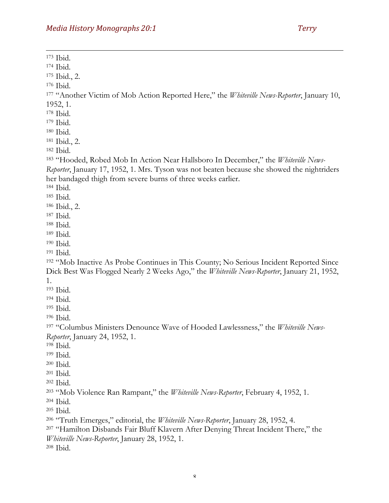Ibid. Ibid. Ibid., 2. Ibid. "Another Victim of Mob Action Reported Here," the *Whiteville News-Reporter*, January 10, 1952, 1. Ibid. Ibid. Ibid. Ibid., 2. Ibid. "Hooded, Robed Mob In Action Near Hallsboro In December," the *Whiteville News-Reporter*, January 17, 1952, 1. Mrs. Tyson was not beaten because she showed the nightriders her bandaged thigh from severe burns of three weeks earlier. Ibid. Ibid. Ibid., 2. Ibid. Ibid. Ibid. Ibid. Ibid. "Mob Inactive As Probe Continues in This County; No Serious Incident Reported Since Dick Best Was Flogged Nearly 2 Weeks Ago," the *Whiteville News-Reporter*, January 21, 1952, 1. Ibid. Ibid. Ibid. Ibid. "Columbus Ministers Denounce Wave of Hooded Lawlessness," the *Whiteville News-Reporter*, January 24, 1952, 1. Ibid. Ibid. Ibid. Ibid. Ibid. "Mob Violence Ran Rampant," the *Whiteville News-Reporter*, February 4, 1952, 1. Ibid. Ibid. "Truth Emerges," editorial, the *Whiteville News-Reporter*, January 28, 1952, 4. "Hamilton Disbands Fair Bluff Klavern After Denying Threat Incident There," the *Whiteville News-Reporter*, January 28, 1952, 1. Ibid.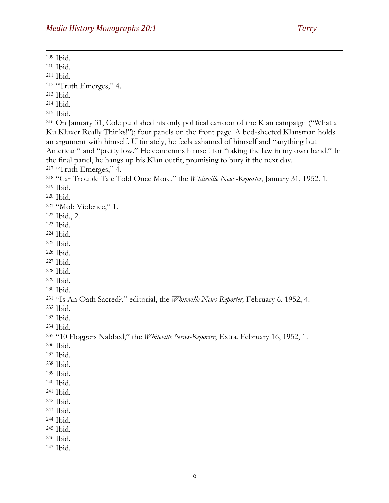Ibid. Ibid. Ibid. "Truth Emerges," 4. Ibid. Ibid. Ibid. On January 31, Cole published his only political cartoon of the Klan campaign ("What a Ku Kluxer Really Thinks!"); four panels on the front page. A bed-sheeted Klansman holds an argument with himself. Ultimately, he feels ashamed of himself and "anything but American" and "pretty low." He condemns himself for "taking the law in my own hand." In the final panel, he hangs up his Klan outfit, promising to bury it the next day. <sup>217</sup> "Truth Emerges," 4. "Car Trouble Tale Told Once More," the *Whiteville News-Reporter*, January 31, 1952. 1. Ibid. Ibid. "Mob Violence," 1. Ibid., 2. Ibid. Ibid. Ibid. Ibid. Ibid. Ibid. Ibid. Ibid. "Is An Oath Sacred?," editorial, the *Whiteville News-Reporter,* February 6, 1952, 4. Ibid. Ibid. Ibid. "10 Floggers Nabbed," the *Whiteville News-Reporter*, Extra, February 16, 1952, 1. Ibid. Ibid. Ibid. Ibid. Ibid. Ibid. Ibid. Ibid. Ibid. Ibid. Ibid. Ibid.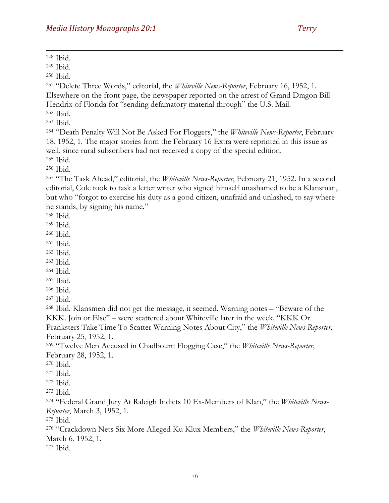Ibid.

Ibid.

Ibid.

 "Delete Three Words," editorial, the *Whiteville News-Reporter*, February 16, 1952, 1. Elsewhere on the front page, the newspaper reported on the arrest of Grand Dragon Bill Hendrix of Florida for "sending defamatory material through" the U.S. Mail.

Ibid.

Ibid.

 "Death Penalty Will Not Be Asked For Floggers," the *Whiteville News-Reporter*, February 18, 1952, 1. The major stories from the February 16 Extra were reprinted in this issue as well, since rural subscribers had not received a copy of the special edition. Ibid.

Ibid.

 "The Task Ahead," editorial, the *Whiteville News-Reporter*, February 21, 1952. In a second editorial, Cole took to task a letter writer who signed himself unashamed to be a Klansman, but who "forgot to exercise his duty as a good citizen, unafraid and unlashed, to say where he stands, by signing his name."

Ibid.

Ibid.

Ibid.

Ibid.

Ibid.

 Ibid. Ibid.

Ibid.

Ibid.

Ibid.

 Ibid. Klansmen did not get the message, it seemed. Warning notes – "Beware of the KKK. Join or Else" – were scattered about Whiteville later in the week. "KKK Or Pranksters Take Time To Scatter Warning Notes About City," the *Whiteville News-Reporter,*  February 25, 1952, 1.

 "Twelve Men Accused in Chadbourn Flogging Case," the *Whiteville News-Reporter*, February 28, 1952, 1.

Ibid.

Ibid.

Ibid.

Ibid.

 "Federal Grand Jury At Raleigh Indicts 10 Ex-Members of Klan," the *Whiteville News-Reporter*, March 3, 1952, 1.

Ibid.

 "Crackdown Nets Six More Alleged Ku Klux Members," the *Whiteville News-Reporter*, March 6, 1952, 1.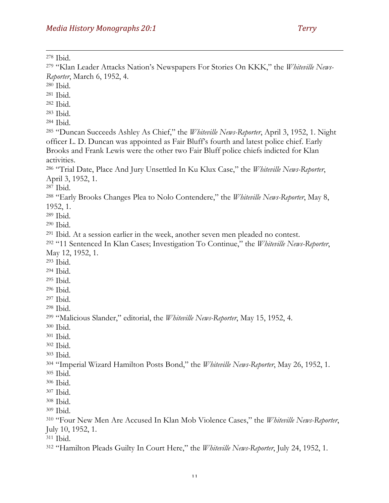*Reporter*, March 6, 1952, 4.

Ibid.

"Klan Leader Attacks Nation's Newspapers For Stories On KKK," the *Whiteville News-*

 Ibid. Ibid. Ibid. Ibid. Ibid. "Duncan Succeeds Ashley As Chief," the *Whiteville News-Reporter*, April 3, 1952, 1. Night officer L. D. Duncan was appointed as Fair Bluff's fourth and latest police chief. Early Brooks and Frank Lewis were the other two Fair Bluff police chiefs indicted for Klan activities. "Trial Date, Place And Jury Unsettled In Ku Klux Case," the *Whiteville News-Reporter*, April 3, 1952, 1. Ibid. "Early Brooks Changes Plea to Nolo Contendere," the *Whiteville News-Reporter*, May 8, 1952, 1. Ibid. Ibid. Ibid. At a session earlier in the week, another seven men pleaded no contest. "11 Sentenced In Klan Cases; Investigation To Continue," the *Whiteville News-Reporter*, May 12, 1952, 1. Ibid. Ibid. Ibid. Ibid. Ibid. Ibid. "Malicious Slander," editorial, the *Whiteville News-Reporter*, May 15, 1952, 4. Ibid. Ibid. Ibid. Ibid. "Imperial Wizard Hamilton Posts Bond," the *Whiteville News-Reporter*, May 26, 1952, 1. Ibid. Ibid. Ibid. Ibid. Ibid. "Four New Men Are Accused In Klan Mob Violence Cases," the *Whiteville News-Reporter*, July 10, 1952, 1. Ibid. "Hamilton Pleads Guilty In Court Here," the *Whiteville News-Reporter*, July 24, 1952, 1.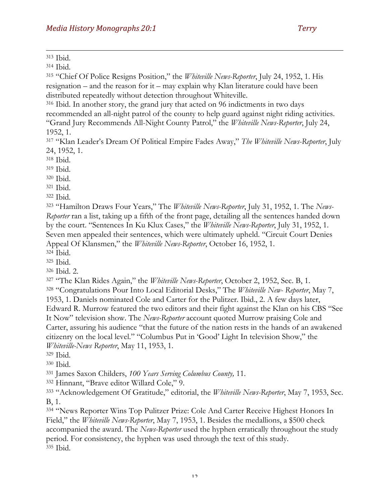1 <sup>313</sup> Ibid.

<sup>314</sup> Ibid.

<sup>315</sup> "Chief Of Police Resigns Position," the *Whiteville News-Reporter*, July 24, 1952, 1. His resignation – and the reason for it – may explain why Klan literature could have been distributed repeatedly without detection throughout Whiteville.

<sup>316</sup> Ibid. In another story, the grand jury that acted on 96 indictments in two days recommended an all-night patrol of the county to help guard against night riding activities. "Grand Jury Recommends All-Night County Patrol," the *Whiteville News-Reporter*, July 24, 1952, 1.

<sup>317</sup> "Klan Leader's Dream Of Political Empire Fades Away," *The Whiteville News-Reporter*, July 24, 1952, 1.

<sup>318</sup> Ibid.

<sup>319</sup> Ibid.

<sup>320</sup> Ibid.

<sup>321</sup> Ibid.

<sup>322</sup> Ibid.

<sup>323</sup> "Hamilton Draws Four Years," The *Whiteville News-Reporter*, July 31, 1952, 1. The *News-Reporter* ran a list, taking up a fifth of the front page, detailing all the sentences handed down by the court. "Sentences In Ku Klux Cases," the *Whiteville News-Reporter*, July 31, 1952, 1. Seven men appealed their sentences, which were ultimately upheld. "Circuit Court Denies Appeal Of Klansmen," the *Whiteville News-Reporter*, October 16, 1952, 1.

<sup>324</sup> Ibid.

<sup>325</sup> Ibid.

<sup>326</sup> Ibid. 2.

<sup>327</sup> "The Klan Rides Again," the *Whiteville News-Reporter*, October 2, 1952, Sec. B, 1.

<sup>328</sup> "Congratulations Pour Into Local Editorial Desks," The *Whiteville New- Reporter*, May 7, 1953, 1. Daniels nominated Cole and Carter for the Pulitzer. Ibid., 2. A few days later, Edward R. Murrow featured the two editors and their fight against the Klan on his CBS "See It Now" television show. The *News-Reporter* account quoted Murrow praising Cole and Carter, assuring his audience "that the future of the nation rests in the hands of an awakened citizenry on the local level." "Columbus Put in 'Good' Light In television Show," the *Whiteville-News Reporter*, May 11, 1953, 1.

<sup>329</sup> Ibid.

<sup>330</sup> Ibid.

<sup>331</sup> James Saxon Childers, *100 Years Serving Columbus County,* 11.

<sup>332</sup> Hinnant, "Brave editor Willard Cole," 9.

<sup>333</sup> "Acknowledgement Of Gratitude," editorial, the *Whiteville News-Reporter*, May 7, 1953, Sec. B, 1.

<sup>334</sup> "News Reporter Wins Top Pulitzer Prize: Cole And Carter Receive Highest Honors In Field," the *Whiteville News-Reporter*, May 7, 1953, 1. Besides the medallions, a \$500 check accompanied the award. The *News-Reporter* used the hyphen erratically throughout the study period. For consistency, the hyphen was used through the text of this study. <sup>335</sup> Ibid.